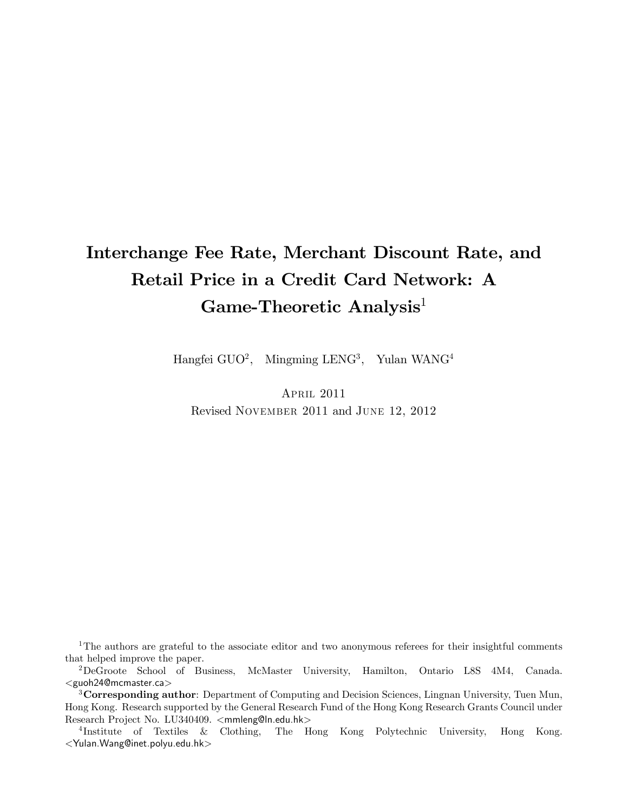# Interchange Fee Rate, Merchant Discount Rate, and Retail Price in a Credit Card Network: A Game-Theoretic Analysis<sup>1</sup>

Hangfei GUO<sup>2</sup>, Mingming LENG<sup>3</sup>, Yulan WANG<sup>4</sup>

April 2011 Revised November 2011 and June 12, 2012

<sup>1</sup>The authors are grateful to the associate editor and two anonymous referees for their insightful comments that helped improve the paper.

<sup>2</sup>DeGroote School of Business, McMaster University, Hamilton, Ontario L8S 4M4, Canada. <guoh24@mcmaster.ca>

<sup>3</sup>Corresponding author: Department of Computing and Decision Sciences, Lingnan University, Tuen Mun, Hong Kong. Research supported by the General Research Fund of the Hong Kong Research Grants Council under Research Project No. LU340409. <mmleng@ln.edu.hk>

<sup>4</sup>Institute of Textiles & Clothing, The Hong Kong Polytechnic University, Hong Kong. <Yulan.Wang@inet.polyu.edu.hk>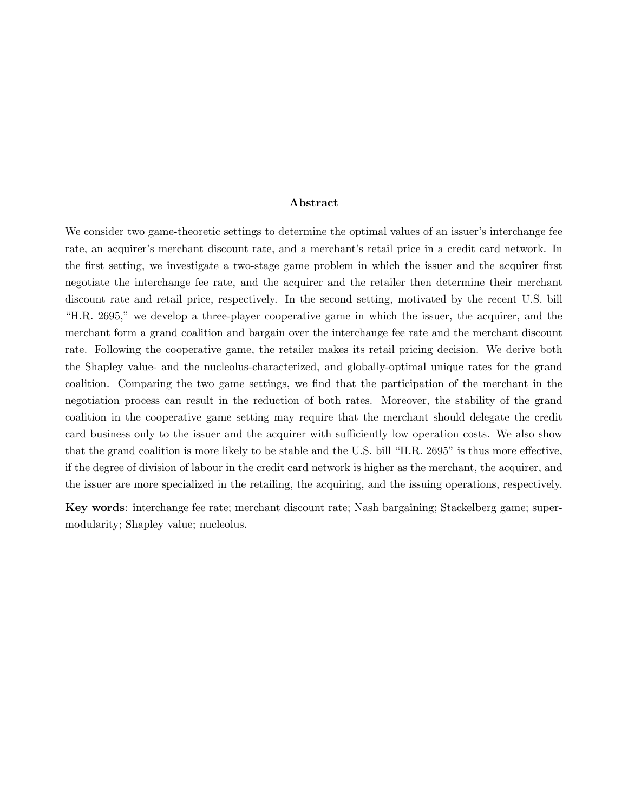#### Abstract

We consider two game-theoretic settings to determine the optimal values of an issuer's interchange fee rate, an acquirer's merchant discount rate, and a merchant's retail price in a credit card network. In the first setting, we investigate a two-stage game problem in which the issuer and the acquirer first negotiate the interchange fee rate, and the acquirer and the retailer then determine their merchant discount rate and retail price, respectively. In the second setting, motivated by the recent U.S. bill ìH.R. 2695,î we develop a three-player cooperative game in which the issuer, the acquirer, and the merchant form a grand coalition and bargain over the interchange fee rate and the merchant discount rate. Following the cooperative game, the retailer makes its retail pricing decision. We derive both the Shapley value- and the nucleolus-characterized, and globally-optimal unique rates for the grand coalition. Comparing the two game settings, we find that the participation of the merchant in the negotiation process can result in the reduction of both rates. Moreover, the stability of the grand coalition in the cooperative game setting may require that the merchant should delegate the credit card business only to the issuer and the acquirer with sufficiently low operation costs. We also show that the grand coalition is more likely to be stable and the U.S. bill  $H.R. 2695$ " is thus more effective, if the degree of division of labour in the credit card network is higher as the merchant, the acquirer, and the issuer are more specialized in the retailing, the acquiring, and the issuing operations, respectively.

Key words: interchange fee rate; merchant discount rate; Nash bargaining; Stackelberg game; supermodularity; Shapley value; nucleolus.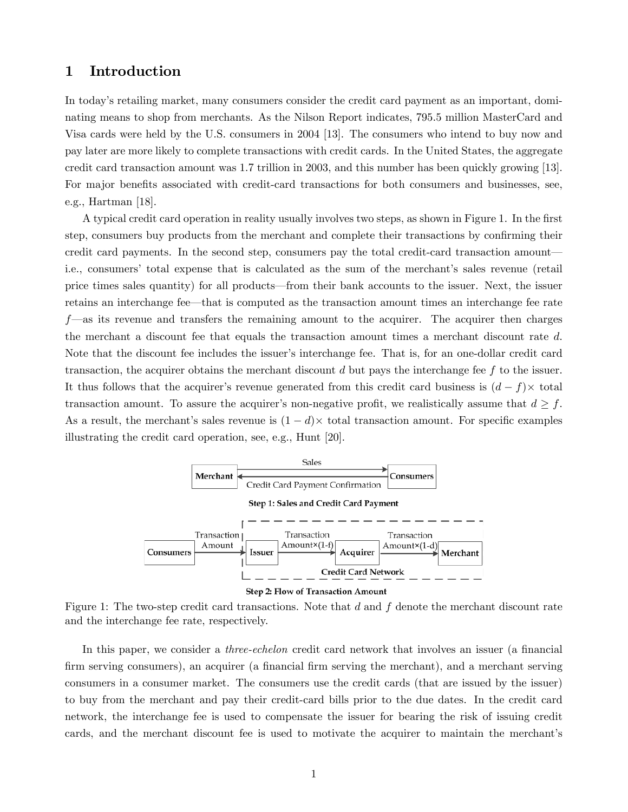### 1 Introduction

In today's retailing market, many consumers consider the credit card payment as an important, dominating means to shop from merchants. As the Nilson Report indicates, 795.5 million MasterCard and Visa cards were held by the U.S. consumers in 2004 [13]. The consumers who intend to buy now and pay later are more likely to complete transactions with credit cards. In the United States, the aggregate credit card transaction amount was 1.7 trillion in 2003, and this number has been quickly growing [13]. For major benefits associated with credit-card transactions for both consumers and businesses, see, e.g., Hartman [18].

A typical credit card operation in reality usually involves two steps, as shown in Figure 1. In the first step, consumers buy products from the merchant and complete their transactions by confirming their credit card payments. In the second step, consumers pay the total credit-card transaction amount i.e., consumers' total expense that is calculated as the sum of the merchant's sales revenue (retail price times sales quantity) for all products—from their bank accounts to the issuer. Next, the issuer retains an interchange fee—that is computed as the transaction amount times an interchange fee rate  $f$ —as its revenue and transfers the remaining amount to the acquirer. The acquirer then charges the merchant a discount fee that equals the transaction amount times a merchant discount rate  $d$ . Note that the discount fee includes the issuer's interchange fee. That is, for an one-dollar credit card transaction, the acquirer obtains the merchant discount  $d$  but pays the interchange fee  $f$  to the issuer. It thus follows that the acquirer's revenue generated from this credit card business is  $(d-f) \times$  total transaction amount. To assure the acquirer's non-negative profit, we realistically assume that  $d \geq f$ . As a result, the merchant's sales revenue is  $(1 - d) \times$  total transaction amount. For specific examples illustrating the credit card operation, see, e.g., Hunt [20].



Figure 1: The two-step credit card transactions. Note that  $d$  and  $f$  denote the merchant discount rate and the interchange fee rate, respectively.

In this paper, we consider a *three-echelon* credit card network that involves an issuer (a financial firm serving consumers), an acquirer (a financial firm serving the merchant), and a merchant serving consumers in a consumer market. The consumers use the credit cards (that are issued by the issuer) to buy from the merchant and pay their credit-card bills prior to the due dates. In the credit card network, the interchange fee is used to compensate the issuer for bearing the risk of issuing credit cards, and the merchant discount fee is used to motivate the acquirer to maintain the merchant's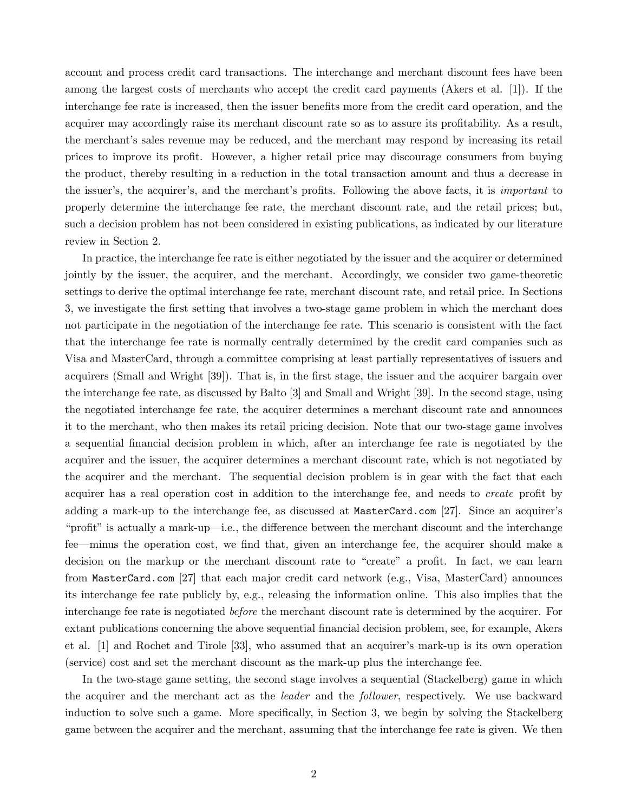account and process credit card transactions. The interchange and merchant discount fees have been among the largest costs of merchants who accept the credit card payments (Akers et al. [1]). If the interchange fee rate is increased, then the issuer benefits more from the credit card operation, and the acquirer may accordingly raise its merchant discount rate so as to assure its profitability. As a result, the merchant's sales revenue may be reduced, and the merchant may respond by increasing its retail prices to improve its profit. However, a higher retail price may discourage consumers from buying the product, thereby resulting in a reduction in the total transaction amount and thus a decrease in the issuer's, the acquirer's, and the merchant's profits. Following the above facts, it is *important* to properly determine the interchange fee rate, the merchant discount rate, and the retail prices; but, such a decision problem has not been considered in existing publications, as indicated by our literature review in Section 2.

In practice, the interchange fee rate is either negotiated by the issuer and the acquirer or determined jointly by the issuer, the acquirer, and the merchant. Accordingly, we consider two game-theoretic settings to derive the optimal interchange fee rate, merchant discount rate, and retail price. In Sections 3, we investigate the first setting that involves a two-stage game problem in which the merchant does not participate in the negotiation of the interchange fee rate. This scenario is consistent with the fact that the interchange fee rate is normally centrally determined by the credit card companies such as Visa and MasterCard, through a committee comprising at least partially representatives of issuers and acquirers (Small and Wright [39]). That is, in the first stage, the issuer and the acquirer bargain over the interchange fee rate, as discussed by Balto [3] and Small and Wright [39]. In the second stage, using the negotiated interchange fee rate, the acquirer determines a merchant discount rate and announces it to the merchant, who then makes its retail pricing decision. Note that our two-stage game involves a sequential financial decision problem in which, after an interchange fee rate is negotiated by the acquirer and the issuer, the acquirer determines a merchant discount rate, which is not negotiated by the acquirer and the merchant. The sequential decision problem is in gear with the fact that each acquirer has a real operation cost in addition to the interchange fee, and needs to *create* profit by adding a mark-up to the interchange fee, as discussed at MasterCard.com [27]. Since an acquirer's "profit" is actually a mark-up—i.e., the difference between the merchant discount and the interchange fee—minus the operation cost, we find that, given an interchange fee, the acquirer should make a decision on the markup or the merchant discount rate to "create" a profit. In fact, we can learn from MasterCard.com [27] that each major credit card network (e.g., Visa, MasterCard) announces its interchange fee rate publicly by, e.g., releasing the information online. This also implies that the interchange fee rate is negotiated before the merchant discount rate is determined by the acquirer. For extant publications concerning the above sequential financial decision problem, see, for example, Akers et al. [1] and Rochet and Tirole [33], who assumed that an acquirer's mark-up is its own operation (service) cost and set the merchant discount as the mark-up plus the interchange fee.

In the two-stage game setting, the second stage involves a sequential (Stackelberg) game in which the acquirer and the merchant act as the *leader* and the *follower*, respectively. We use backward induction to solve such a game. More specifically, in Section 3, we begin by solving the Stackelberg game between the acquirer and the merchant, assuming that the interchange fee rate is given. We then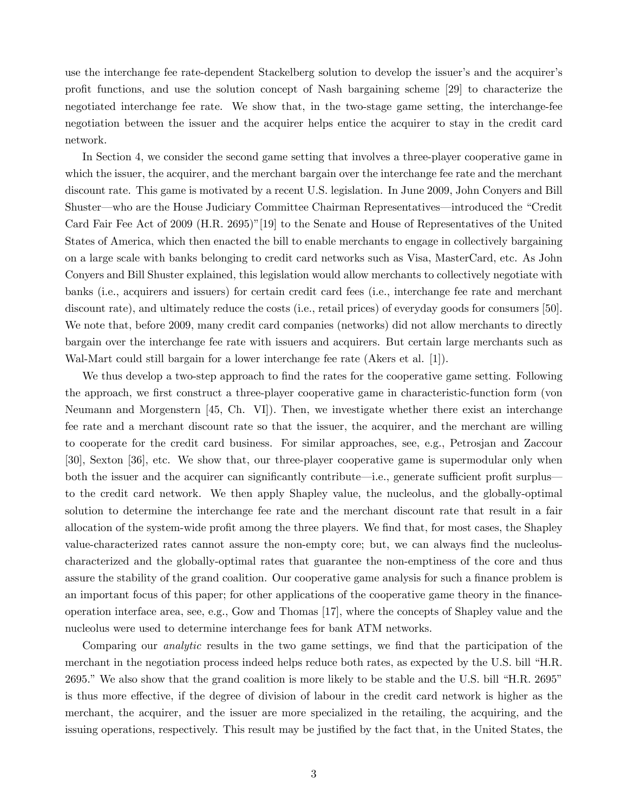use the interchange fee rate-dependent Stackelberg solution to develop the issuer's and the acquirer's profit functions, and use the solution concept of Nash bargaining scheme [29] to characterize the negotiated interchange fee rate. We show that, in the two-stage game setting, the interchange-fee negotiation between the issuer and the acquirer helps entice the acquirer to stay in the credit card network.

In Section 4, we consider the second game setting that involves a three-player cooperative game in which the issuer, the acquirer, and the merchant bargain over the interchange fee rate and the merchant discount rate. This game is motivated by a recent U.S. legislation. In June 2009, John Conyers and Bill Shuster—who are the House Judiciary Committee Chairman Representatives—introduced the "Credit" Card Fair Fee Act of 2009 (H.R. 2695)<sup>n</sup>[19] to the Senate and House of Representatives of the United States of America, which then enacted the bill to enable merchants to engage in collectively bargaining on a large scale with banks belonging to credit card networks such as Visa, MasterCard, etc. As John Conyers and Bill Shuster explained, this legislation would allow merchants to collectively negotiate with banks (i.e., acquirers and issuers) for certain credit card fees (i.e., interchange fee rate and merchant discount rate), and ultimately reduce the costs (i.e., retail prices) of everyday goods for consumers [50]. We note that, before 2009, many credit card companies (networks) did not allow merchants to directly bargain over the interchange fee rate with issuers and acquirers. But certain large merchants such as Wal-Mart could still bargain for a lower interchange fee rate (Akers et al. [1]).

We thus develop a two-step approach to find the rates for the cooperative game setting. Following the approach, we first construct a three-player cooperative game in characteristic-function form (von Neumann and Morgenstern [45, Ch. VI]). Then, we investigate whether there exist an interchange fee rate and a merchant discount rate so that the issuer, the acquirer, and the merchant are willing to cooperate for the credit card business. For similar approaches, see, e.g., Petrosjan and Zaccour [30], Sexton [36], etc. We show that, our three-player cooperative game is supermodular only when both the issuer and the acquirer can significantly contribute—i.e., generate sufficient profit surplus to the credit card network. We then apply Shapley value, the nucleolus, and the globally-optimal solution to determine the interchange fee rate and the merchant discount rate that result in a fair allocation of the system-wide profit among the three players. We find that, for most cases, the Shapley value-characterized rates cannot assure the non-empty core; but, we can always find the nucleoluscharacterized and the globally-optimal rates that guarantee the non-emptiness of the core and thus assure the stability of the grand coalition. Our cooperative game analysis for such a finance problem is an important focus of this paper; for other applications of the cooperative game theory in the financeoperation interface area, see, e.g., Gow and Thomas [17], where the concepts of Shapley value and the nucleolus were used to determine interchange fees for bank ATM networks.

Comparing our *analytic* results in the two game settings, we find that the participation of the merchant in the negotiation process indeed helps reduce both rates, as expected by the U.S. bill "H.R. 2695." We also show that the grand coalition is more likely to be stable and the U.S. bill "H.R. 2695" is thus more effective, if the degree of division of labour in the credit card network is higher as the merchant, the acquirer, and the issuer are more specialized in the retailing, the acquiring, and the issuing operations, respectively. This result may be justified by the fact that, in the United States, the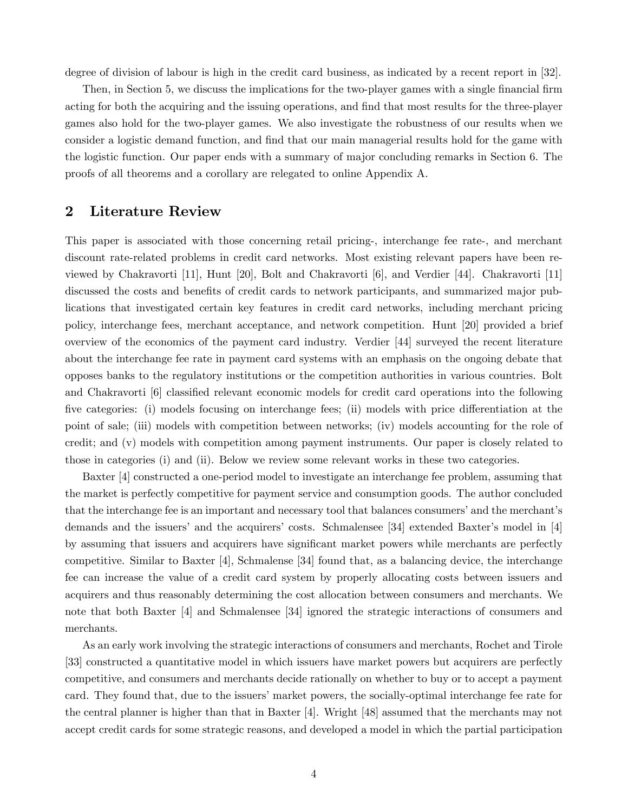degree of division of labour is high in the credit card business, as indicated by a recent report in [32].

Then, in Section 5, we discuss the implications for the two-player games with a single financial firm acting for both the acquiring and the issuing operations, and find that most results for the three-player games also hold for the two-player games. We also investigate the robustness of our results when we consider a logistic demand function, and find that our main managerial results hold for the game with the logistic function. Our paper ends with a summary of major concluding remarks in Section 6. The proofs of all theorems and a corollary are relegated to online Appendix A.

### 2 Literature Review

This paper is associated with those concerning retail pricing-, interchange fee rate-, and merchant discount rate-related problems in credit card networks. Most existing relevant papers have been reviewed by Chakravorti [11], Hunt [20], Bolt and Chakravorti [6], and Verdier [44]. Chakravorti [11] discussed the costs and benefits of credit cards to network participants, and summarized major publications that investigated certain key features in credit card networks, including merchant pricing policy, interchange fees, merchant acceptance, and network competition. Hunt [20] provided a brief overview of the economics of the payment card industry. Verdier [44] surveyed the recent literature about the interchange fee rate in payment card systems with an emphasis on the ongoing debate that opposes banks to the regulatory institutions or the competition authorities in various countries. Bolt and Chakravorti [6] classified relevant economic models for credit card operations into the following five categories: (i) models focusing on interchange fees; (ii) models with price differentiation at the point of sale; (iii) models with competition between networks; (iv) models accounting for the role of credit; and (v) models with competition among payment instruments. Our paper is closely related to those in categories (i) and (ii). Below we review some relevant works in these two categories.

Baxter [4] constructed a one-period model to investigate an interchange fee problem, assuming that the market is perfectly competitive for payment service and consumption goods. The author concluded that the interchange fee is an important and necessary tool that balances consumers' and the merchant's demands and the issuers' and the acquirers' costs. Schmalensee  $[34]$  extended Baxter's model in [4] by assuming that issuers and acquirers have significant market powers while merchants are perfectly competitive. Similar to Baxter [4], Schmalense [34] found that, as a balancing device, the interchange fee can increase the value of a credit card system by properly allocating costs between issuers and acquirers and thus reasonably determining the cost allocation between consumers and merchants. We note that both Baxter [4] and Schmalensee [34] ignored the strategic interactions of consumers and merchants.

As an early work involving the strategic interactions of consumers and merchants, Rochet and Tirole [33] constructed a quantitative model in which issuers have market powers but acquirers are perfectly competitive, and consumers and merchants decide rationally on whether to buy or to accept a payment card. They found that, due to the issuers' market powers, the socially-optimal interchange fee rate for the central planner is higher than that in Baxter [4]. Wright [48] assumed that the merchants may not accept credit cards for some strategic reasons, and developed a model in which the partial participation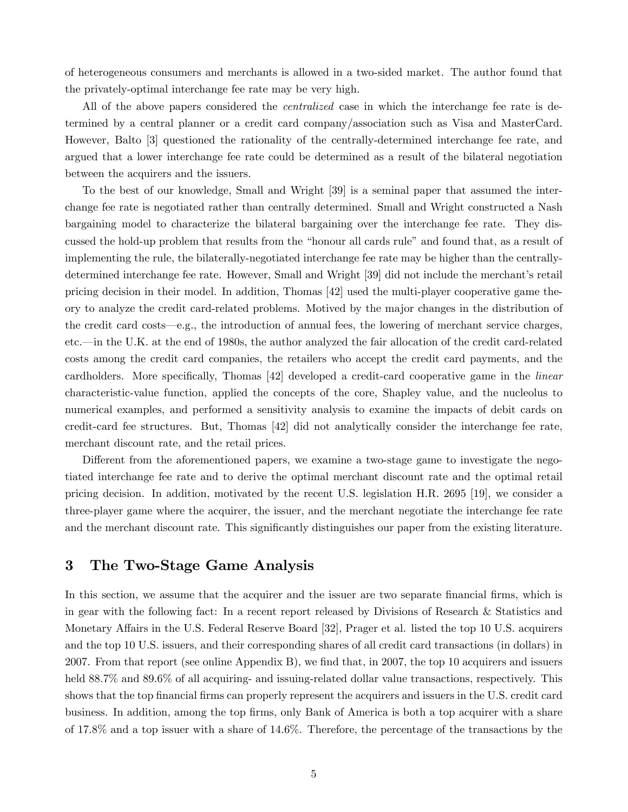of heterogeneous consumers and merchants is allowed in a two-sided market. The author found that the privately-optimal interchange fee rate may be very high.

All of the above papers considered the centralized case in which the interchange fee rate is determined by a central planner or a credit card company/association such as Visa and MasterCard. However, Balto [3] questioned the rationality of the centrally-determined interchange fee rate, and argued that a lower interchange fee rate could be determined as a result of the bilateral negotiation between the acquirers and the issuers.

To the best of our knowledge, Small and Wright [39] is a seminal paper that assumed the interchange fee rate is negotiated rather than centrally determined. Small and Wright constructed a Nash bargaining model to characterize the bilateral bargaining over the interchange fee rate. They discussed the hold-up problem that results from the "honour all cards rule" and found that, as a result of implementing the rule, the bilaterally-negotiated interchange fee rate may be higher than the centrallydetermined interchange fee rate. However, Small and Wright [39] did not include the merchant's retail pricing decision in their model. In addition, Thomas [42] used the multi-player cooperative game theory to analyze the credit card-related problems. Motived by the major changes in the distribution of the credit card costs—e.g., the introduction of annual fees, the lowering of merchant service charges, etc.—in the U.K. at the end of 1980s, the author analyzed the fair allocation of the credit card-related costs among the credit card companies, the retailers who accept the credit card payments, and the cardholders. More specifically, Thomas  $[42]$  developed a credit-card cooperative game in the *linear* characteristic-value function, applied the concepts of the core, Shapley value, and the nucleolus to numerical examples, and performed a sensitivity analysis to examine the impacts of debit cards on credit-card fee structures. But, Thomas [42] did not analytically consider the interchange fee rate, merchant discount rate, and the retail prices.

Different from the aforementioned papers, we examine a two-stage game to investigate the negotiated interchange fee rate and to derive the optimal merchant discount rate and the optimal retail pricing decision. In addition, motivated by the recent U.S. legislation H.R. 2695 [19], we consider a three-player game where the acquirer, the issuer, and the merchant negotiate the interchange fee rate and the merchant discount rate. This significantly distinguishes our paper from the existing literature.

## 3 The Two-Stage Game Analysis

In this section, we assume that the acquirer and the issuer are two separate financial firms, which is in gear with the following fact: In a recent report released by Divisions of Research & Statistics and Monetary Affairs in the U.S. Federal Reserve Board [32], Prager et al. listed the top 10 U.S. acquirers and the top 10 U.S. issuers, and their corresponding shares of all credit card transactions (in dollars) in 2007. From that report (see online Appendix B), we find that, in 2007, the top 10 acquirers and issuers held 88.7% and 89.6% of all acquiring- and issuing-related dollar value transactions, respectively. This shows that the top financial firms can properly represent the acquirers and issuers in the U.S. credit card business. In addition, among the top firms, only Bank of America is both a top acquirer with a share of 17.8% and a top issuer with a share of 14.6%. Therefore, the percentage of the transactions by the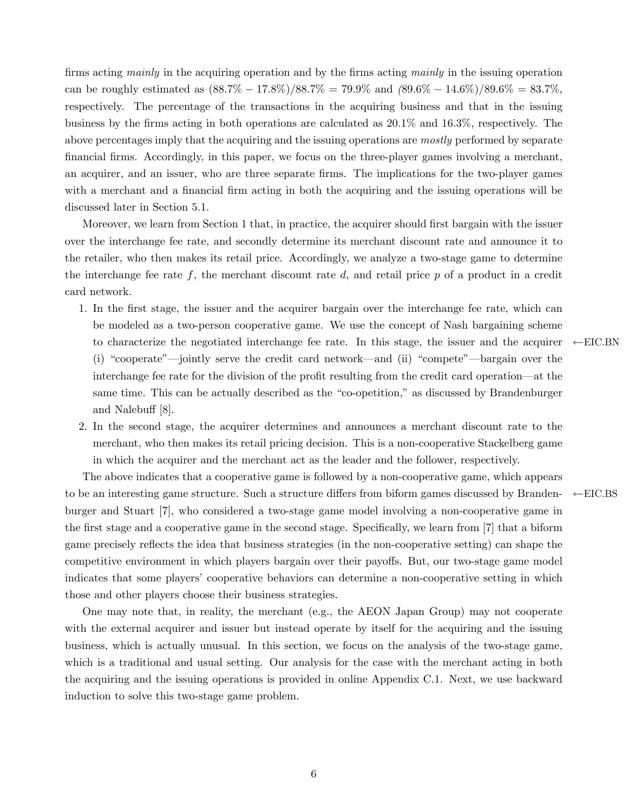firms acting mainly in the acquiring operation and by the firms acting mainly in the issuing operation can be roughly estimated as  $(88.7\% - 17.8\%)/88.7\% = 79.9\%$  and  $(89.6\% - 14.6\%)/89.6\% = 83.7\%$ , respectively. The percentage of the transactions in the acquiring business and that in the issuing business by the Örms acting in both operations are calculated as 20.1% and 16.3%, respectively. The above percentages imply that the acquiring and the issuing operations are mostly performed by separate financial firms. Accordingly, in this paper, we focus on the three-player games involving a merchant, an acquirer, and an issuer, who are three separate firms. The implications for the two-player games with a merchant and a financial firm acting in both the acquiring and the issuing operations will be discussed later in Section 5.1.

Moreover, we learn from Section 1 that, in practice, the acquirer should first bargain with the issuer over the interchange fee rate, and secondly determine its merchant discount rate and announce it to the retailer, who then makes its retail price. Accordingly, we analyze a two-stage game to determine the interchange fee rate  $f$ , the merchant discount rate  $d$ , and retail price  $p$  of a product in a credit card network.

- 1. In the Örst stage, the issuer and the acquirer bargain over the interchange fee rate, which can be modeled as a two-person cooperative game. We use the concept of Nash bargaining scheme to characterize the negotiated interchange fee rate. In this stage, the issuer and the acquirer  $\leftarrow$ EIC.BN (i) "cooperate"—jointly serve the credit card network—and (ii) "compete"—bargain over the interchange fee rate for the division of the profit resulting from the credit card operation—at the same time. This can be actually described as the "co-opetition," as discussed by Brandenburger and Nalebuff [8].
- 2. In the second stage, the acquirer determines and announces a merchant discount rate to the merchant, who then makes its retail pricing decision. This is a non-cooperative Stackelberg game in which the acquirer and the merchant act as the leader and the follower, respectively.

The above indicates that a cooperative game is followed by a non-cooperative game, which appears to be an interesting game structure. Such a structure differs from biform games discussed by Branden- $\leftarrow$ EIC.BS burger and Stuart [7], who considered a two-stage game model involving a non-cooperative game in the first stage and a cooperative game in the second stage. Specifically, we learn from [7] that a biform game precisely reflects the idea that business strategies (in the non-cooperative setting) can shape the competitive environment in which players bargain over their payoffs. But, our two-stage game model indicates that some players' cooperative behaviors can determine a non-cooperative setting in which those and other players choose their business strategies.

One may note that, in reality, the merchant (e.g., the AEON Japan Group) may not cooperate with the external acquirer and issuer but instead operate by itself for the acquiring and the issuing business, which is actually unusual. In this section, we focus on the analysis of the two-stage game, which is a traditional and usual setting. Our analysis for the case with the merchant acting in both the acquiring and the issuing operations is provided in online Appendix C.1. Next, we use backward induction to solve this two-stage game problem.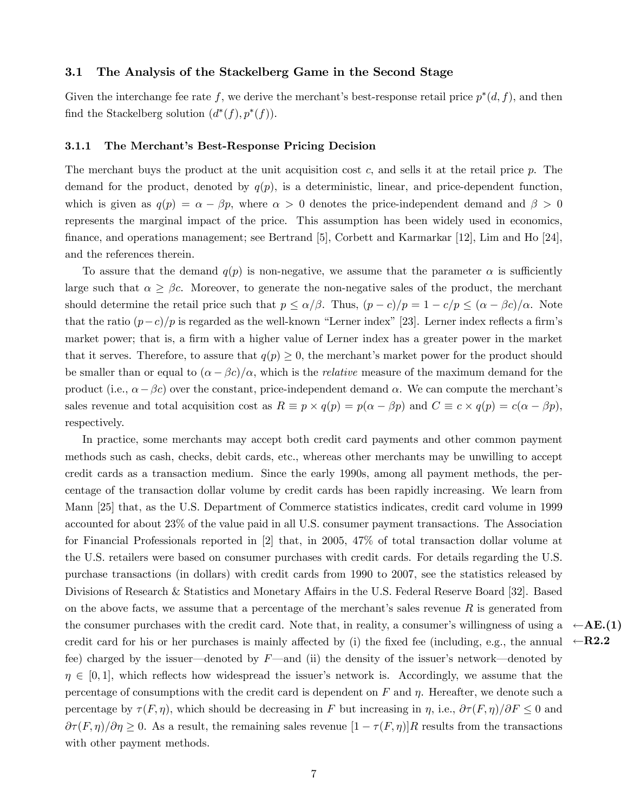### 3.1 The Analysis of the Stackelberg Game in the Second Stage

Given the interchange fee rate f, we derive the merchant's best-response retail price  $p^*(d, f)$ , and then find the Stackelberg solution  $(d^*(f), p^*(f)).$ 

### 3.1.1 The Merchant's Best-Response Pricing Decision

The merchant buys the product at the unit acquisition cost  $c$ , and sells it at the retail price p. The demand for the product, denoted by  $q(p)$ , is a deterministic, linear, and price-dependent function, which is given as  $q(p) = \alpha - \beta p$ , where  $\alpha > 0$  denotes the price-independent demand and  $\beta > 0$ represents the marginal impact of the price. This assumption has been widely used in economics, Önance, and operations management; see Bertrand [5], Corbett and Karmarkar [12], Lim and Ho [24], and the references therein.

To assure that the demand  $q(p)$  is non-negative, we assume that the parameter  $\alpha$  is sufficiently large such that  $\alpha \geq \beta c$ . Moreover, to generate the non-negative sales of the product, the merchant should determine the retail price such that  $p \le \alpha/\beta$ . Thus,  $(p - c)/p = 1 - c/p \le (\alpha - \beta c)/\alpha$ . Note that the ratio  $(p-c)/p$  is regarded as the well-known "Lerner index" [23]. Lerner index reflects a firm's market power; that is, a firm with a higher value of Lerner index has a greater power in the market that it serves. Therefore, to assure that  $q(p) \geq 0$ , the merchant's market power for the product should be smaller than or equal to  $(\alpha - \beta c)/\alpha$ , which is the *relative* measure of the maximum demand for the product (i.e.,  $\alpha - \beta c$ ) over the constant, price-independent demand  $\alpha$ . We can compute the merchant's sales revenue and total acquisition cost as  $R \equiv p \times q(p) = p(\alpha - \beta p)$  and  $C \equiv c \times q(p) = c(\alpha - \beta p)$ , respectively.

In practice, some merchants may accept both credit card payments and other common payment methods such as cash, checks, debit cards, etc., whereas other merchants may be unwilling to accept credit cards as a transaction medium. Since the early 1990s, among all payment methods, the percentage of the transaction dollar volume by credit cards has been rapidly increasing. We learn from Mann [25] that, as the U.S. Department of Commerce statistics indicates, credit card volume in 1999 accounted for about 23% of the value paid in all U.S. consumer payment transactions. The Association for Financial Professionals reported in [2] that, in 2005, 47% of total transaction dollar volume at the U.S. retailers were based on consumer purchases with credit cards. For details regarding the U.S. purchase transactions (in dollars) with credit cards from 1990 to 2007, see the statistics released by Divisions of Research & Statistics and Monetary Affairs in the U.S. Federal Reserve Board [32]. Based on the above facts, we assume that a percentage of the merchant's sales revenue  $R$  is generated from the consumer purchases with the credit card. Note that, in reality, a consumer's willingness of using a  $\leftarrow$ **AE.(1)** credit card for his or her purchases is mainly affected by (i) the fixed fee (including, e.g., the annual  $\leftarrow R2.2$ fee) charged by the issuer—denoted by  $F$ —and (ii) the density of the issuer's network—denoted by  $\eta \in [0, 1]$ , which reflects how widespread the issuer's network is. Accordingly, we assume that the percentage of consumptions with the credit card is dependent on  $F$  and  $\eta$ . Hereafter, we denote such a percentage by  $\tau(F, \eta)$ , which should be decreasing in F but increasing in  $\eta$ , i.e.,  $\partial \tau(F, \eta)/\partial F \leq 0$  and  $\partial \tau(F,\eta)/\partial \eta \geq 0$ . As a result, the remaining sales revenue  $[1 - \tau(F,\eta)]R$  results from the transactions with other payment methods.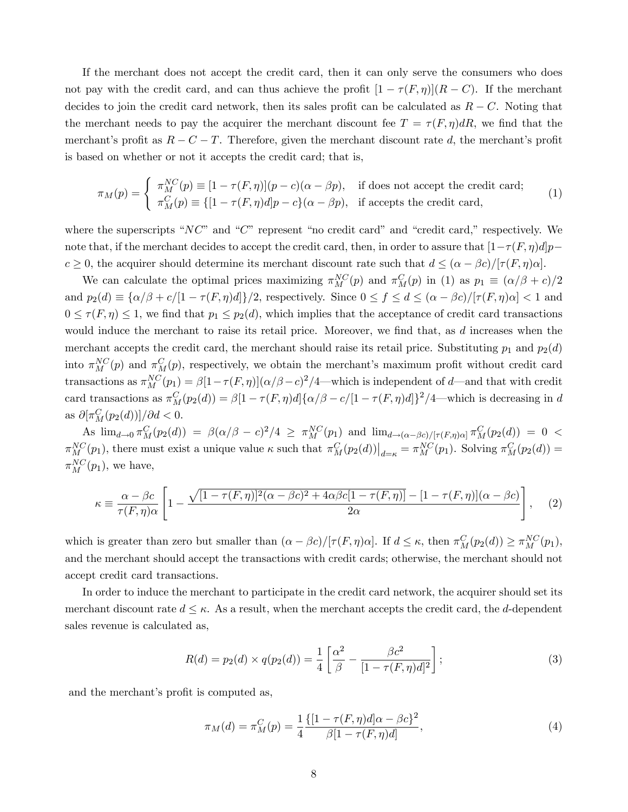If the merchant does not accept the credit card, then it can only serve the consumers who does not pay with the credit card, and can thus achieve the profit  $[1 - \tau(F, \eta)](R - C)$ . If the merchant decides to join the credit card network, then its sales profit can be calculated as  $R - C$ . Noting that the merchant needs to pay the acquirer the merchant discount fee  $T = \tau(F, \eta) dR$ , we find that the merchant's profit as  $R - C - T$ . Therefore, given the merchant discount rate d, the merchant's profit is based on whether or not it accepts the credit card; that is,

$$
\pi_M(p) = \begin{cases} \pi_M^{NC}(p) \equiv [1 - \tau(F, \eta)](p - c)(\alpha - \beta p), & \text{if does not accept the credit card;} \\ \pi_M^C(p) \equiv \{[1 - \tau(F, \eta)d]p - c\}(\alpha - \beta p), & \text{if accepts the credit card,} \end{cases}
$$
\n(1)

where the superscripts " $NC$ " and " $C$ " represent "no credit card" and "credit card," respectively. We note that, if the merchant decides to accept the credit card, then, in order to assure that  $[1-\tau(F,\eta)d]p$  $c \geq 0$ , the acquirer should determine its merchant discount rate such that  $d \leq (\alpha - \beta c)/[\tau(F, \eta)\alpha]$ .

We can calculate the optimal prices maximizing  $\pi_M^{NC}(p)$  and  $\pi_M^C(p)$  in (1) as  $p_1 \equiv (\alpha/\beta + c)/2$ and  $p_2(d) \equiv {\alpha/\beta + c/[1 - \tau(F, \eta)d]}/2$ , respectively. Since  $0 \le f \le d \le (\alpha - \beta c)/[\tau(F, \eta)\alpha] < 1$  and  $0 \leq \tau(F, \eta) \leq 1$ , we find that  $p_1 \leq p_2(d)$ , which implies that the acceptance of credit card transactions would induce the merchant to raise its retail price. Moreover, we find that, as  $d$  increases when the merchant accepts the credit card, the merchant should raise its retail price. Substituting  $p_1$  and  $p_2(d)$ into  $\pi_N^{NC}(p)$  and  $\pi_M^C(p)$ , respectively, we obtain the merchant's maximum profit without credit card transactions as  $\pi_M^{NC}(p_1) = \beta[1 - \tau(F,\eta)](\alpha/\beta - c)^2/4$ —which is independent of d—and that with credit card transactions as  $\pi_M^C(p_2(d)) = \beta[1 - \tau(F, \eta)d]\{\alpha/\beta - c/[1 - \tau(F, \eta)d]\}^2/4$ —which is decreasing in d as  $\partial[\pi_M^C(p_2(d))]/\partial d < 0$ .

As  $\lim_{d\to 0} \pi_M^C(p_2(d)) = \beta(\alpha/\beta - c)^2/4 \geq \pi_M^{NC}(p_1)$  and  $\lim_{d\to(\alpha-\beta c)/[\tau(F,\eta)\alpha]} \pi_M^C(p_2(d)) = 0$  $\pi_M^{NC}(p_1)$ , there must exist a unique value  $\kappa$  such that  $\pi_M^C(p_2(d))|_{d=\kappa} = \pi_M^{NC}(p_1)$ . Solving  $\pi_M^C(p_2(d)) =$  $\pi_N^{NC}(p_1)$ , we have,

$$
\kappa \equiv \frac{\alpha - \beta c}{\tau(F, \eta)\alpha} \left[ 1 - \frac{\sqrt{[1 - \tau(F, \eta)]^2 (\alpha - \beta c)^2 + 4\alpha \beta c [1 - \tau(F, \eta)] - [1 - \tau(F, \eta)] (\alpha - \beta c)}}{2\alpha} \right],
$$
 (2)

which is greater than zero but smaller than  $(\alpha - \beta c)/[\tau(F, \eta)\alpha]$ . If  $d \leq \kappa$ , then  $\pi_M^C(p_2(d)) \geq \pi_M^{NC}(p_1)$ , and the merchant should accept the transactions with credit cards; otherwise, the merchant should not accept credit card transactions.

In order to induce the merchant to participate in the credit card network, the acquirer should set its merchant discount rate  $d \leq \kappa$ . As a result, when the merchant accepts the credit card, the d-dependent sales revenue is calculated as,

$$
R(d) = p_2(d) \times q(p_2(d)) = \frac{1}{4} \left[ \frac{\alpha^2}{\beta} - \frac{\beta c^2}{[1 - \tau(F, \eta)d]^2} \right];
$$
\n(3)

and the merchant's profit is computed as,

$$
\pi_M(d) = \pi_M^C(p) = \frac{1}{4} \frac{\{ [1 - \tau(F, \eta)d] \alpha - \beta c \}^2}{\beta [1 - \tau(F, \eta)d]},
$$
\n(4)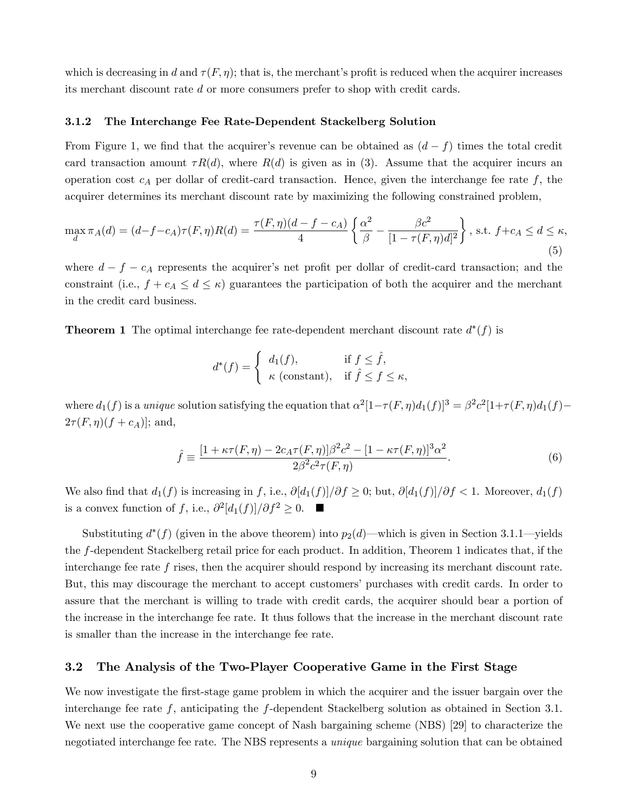which is decreasing in d and  $\tau(F, \eta)$ ; that is, the merchant's profit is reduced when the acquirer increases its merchant discount rate d or more consumers prefer to shop with credit cards.

#### 3.1.2 The Interchange Fee Rate-Dependent Stackelberg Solution

From Figure 1, we find that the acquirer's revenue can be obtained as  $(d - f)$  times the total credit card transaction amount  $\tau R(d)$ , where  $R(d)$  is given as in (3). Assume that the acquirer incurs an operation cost  $c_A$  per dollar of credit-card transaction. Hence, given the interchange fee rate  $f$ , the acquirer determines its merchant discount rate by maximizing the following constrained problem,

$$
\max_{d} \pi_{A}(d) = (d - f - c_{A})\tau(F, \eta)R(d) = \frac{\tau(F, \eta)(d - f - c_{A})}{4} \left\{ \frac{\alpha^{2}}{\beta} - \frac{\beta c^{2}}{[1 - \tau(F, \eta)d]^{2}} \right\}, \text{ s.t. } f + c_{A} \le d \le \kappa,
$$
\n(5)

where  $d - f - c_A$  represents the acquirer's net profit per dollar of credit-card transaction; and the constraint (i.e.,  $f + c_A \leq d \leq \kappa$ ) guarantees the participation of both the acquirer and the merchant in the credit card business.

**Theorem 1** The optimal interchange fee rate-dependent merchant discount rate  $d^*(f)$  is

$$
d^*(f) = \begin{cases} d_1(f), & \text{if } f \leq \hat{f}, \\ \kappa \text{ (constant)}, & \text{if } \hat{f} \leq f \leq \kappa, \end{cases}
$$

where  $d_1(f)$  is a *unique* solution satisfying the equation that  $\alpha^2[1-\tau(F,\eta)d_1(f)]^3 = \beta^2 c^2[1+\tau(F,\eta)d_1(f) 2\tau(F,\eta)(f+c_A)$ ; and,

$$
\hat{f} \equiv \frac{[1 + \kappa \tau(F, \eta) - 2c_A \tau(F, \eta)] \beta^2 c^2 - [1 - \kappa \tau(F, \eta)]^3 \alpha^2}{2\beta^2 c^2 \tau(F, \eta)}.
$$
\n(6)

We also find that  $d_1(f)$  is increasing in f, i.e.,  $\partial [d_1(f)]/\partial f \geq 0$ ; but,  $\partial [d_1(f)]/\partial f < 1$ . Moreover,  $d_1(f)$ is a convex function of f, i.e.,  $\partial^2[d_1(f)]/\partial f^2 \geq 0$ .

Substituting  $d^*(f)$  (given in the above theorem) into  $p_2(d)$ —which is given in Section 3.1.1—yields the f-dependent Stackelberg retail price for each product. In addition, Theorem 1 indicates that, if the interchange fee rate f rises, then the acquirer should respond by increasing its merchant discount rate. But, this may discourage the merchant to accept customersípurchases with credit cards. In order to assure that the merchant is willing to trade with credit cards, the acquirer should bear a portion of the increase in the interchange fee rate. It thus follows that the increase in the merchant discount rate is smaller than the increase in the interchange fee rate.

### 3.2 The Analysis of the Two-Player Cooperative Game in the First Stage

We now investigate the first-stage game problem in which the acquirer and the issuer bargain over the interchange fee rate f, anticipating the f-dependent Stackelberg solution as obtained in Section 3.1. We next use the cooperative game concept of Nash bargaining scheme (NBS) [29] to characterize the negotiated interchange fee rate. The NBS represents a unique bargaining solution that can be obtained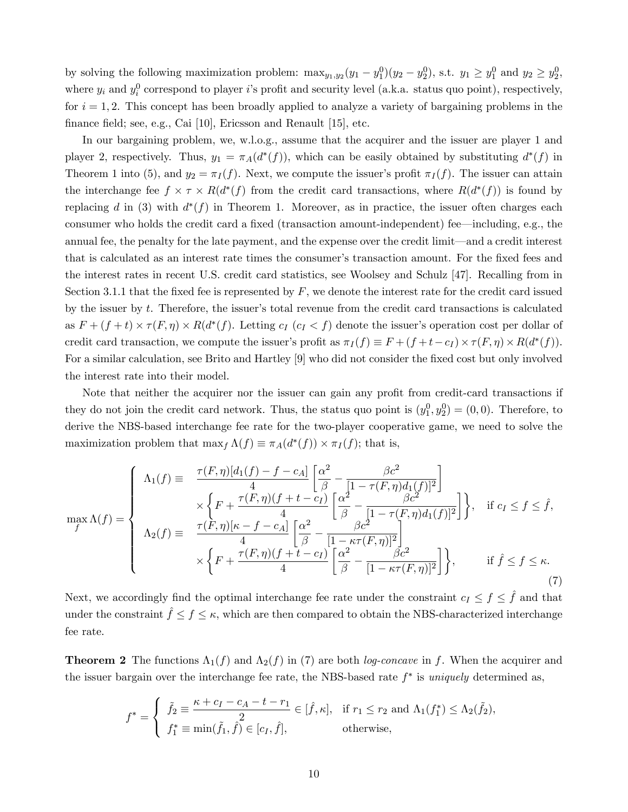by solving the following maximization problem:  $\max_{y_1, y_2} (y_1 - y_1^0)(y_2 - y_2^0)$ , s.t.  $y_1 \ge y_1^0$  and  $y_2 \ge y_2^0$ , where  $y_i$  and  $y_i^0$  correspond to player *i*'s profit and security level (a.k.a. status quo point), respectively, for  $i = 1, 2$ . This concept has been broadly applied to analyze a variety of bargaining problems in the finance field; see, e.g., Cai  $[10]$ , Ericsson and Renault  $[15]$ , etc.

In our bargaining problem, we, w.l.o.g., assume that the acquirer and the issuer are player 1 and player 2, respectively. Thus,  $y_1 = \pi_A(d^*(f))$ , which can be easily obtained by substituting  $d^*(f)$  in Theorem 1 into (5), and  $y_2 = \pi_I(f)$ . Next, we compute the issuer's profit  $\pi_I(f)$ . The issuer can attain the interchange fee  $f \times \tau \times R(d^*(f))$  from the credit card transactions, where  $R(d^*(f))$  is found by replacing d in (3) with  $d^*(f)$  in Theorem 1. Moreover, as in practice, the issuer often charges each consumer who holds the credit card a fixed (transaction amount-independent) fee—including, e.g., the annual fee, the penalty for the late payment, and the expense over the credit limit—and a credit interest that is calculated as an interest rate times the consumer's transaction amount. For the fixed fees and the interest rates in recent U.S. credit card statistics, see Woolsey and Schulz [47]. Recalling from in Section 3.1.1 that the fixed fee is represented by  $F$ , we denote the interest rate for the credit card issued by the issuer by t. Therefore, the issuer's total revenue from the credit card transactions is calculated as  $F + (f + t) \times \tau(F, \eta) \times R(d^*(f))$ . Letting  $c_I$   $(c_I < f)$  denote the issuer's operation cost per dollar of credit card transaction, we compute the issuer's profit as  $\pi_I(f) \equiv F + (f + t - c_I) \times \tau(F, \eta) \times R(d^*(f)).$ For a similar calculation, see Brito and Hartley [9] who did not consider the fixed cost but only involved the interest rate into their model.

Note that neither the acquirer nor the issuer can gain any profit from credit-card transactions if they do not join the credit card network. Thus, the status quo point is  $(y_1^0, y_2^0) = (0, 0)$ . Therefore, to derive the NBS-based interchange fee rate for the two-player cooperative game, we need to solve the maximization problem that  $\max_f \Lambda(f) \equiv \pi_A(d^*(f)) \times \pi_I(f)$ ; that is,

$$
\max_{f} \Lambda(f) = \begin{cases} \Lambda_1(f) \equiv \frac{\tau(F,\eta)[d_1(f) - f - c_A]}{4} \left[ \frac{\alpha^2}{\beta} - \frac{\beta c^2}{[1 - \tau(F,\eta)d_1(f)]^2} \right] \\ \times \left\{ F + \frac{\tau(F,\eta)[f + t - c_I]}{4} \left[ \frac{\alpha^2}{\beta} - \frac{\beta c^2}{[1 - \tau(F,\eta)d_1(f)]^2} \right] \right\}, & \text{if } c_I \le f \le \hat{f}, \\ \Lambda_2(f) \equiv \frac{\tau(F,\eta)[\kappa - f - c_A]}{4} \left[ \frac{\alpha^2}{\beta} - \frac{\beta c^2}{[1 - \kappa \tau(F,\eta)]^2} \right] \\ \times \left\{ F + \frac{\tau(F,\eta)(f + t - c_I)}{4} \left[ \frac{\alpha^2}{\beta} - \frac{\beta c^2}{[1 - \kappa \tau(F,\eta)]^2} \right] \right\}, & \text{if } \hat{f} \le f \le \kappa. \end{cases} \tag{7}
$$

Next, we accordingly find the optimal interchange fee rate under the constraint  $c_I \leq f \leq \hat{f}$  and that under the constraint  $\hat{f} \leq f \leq \kappa$ , which are then compared to obtain the NBS-characterized interchange fee rate.

**Theorem 2** The functions  $\Lambda_1(f)$  and  $\Lambda_2(f)$  in (7) are both log-concave in f. When the acquirer and the issuer bargain over the interchange fee rate, the NBS-based rate  $f^*$  is uniquely determined as,

$$
f^* = \begin{cases} \n\tilde{f}_2 \equiv \frac{\kappa + c_I - c_A - t - r_1}{2} \in [\hat{f}, \kappa], & \text{if } r_1 \le r_2 \text{ and } \Lambda_1(f_1^*) \le \Lambda_2(\tilde{f}_2), \\ \nf_1^* \equiv \min(\tilde{f}_1, \hat{f}) \in [c_I, \hat{f}], & \text{otherwise,} \n\end{cases}
$$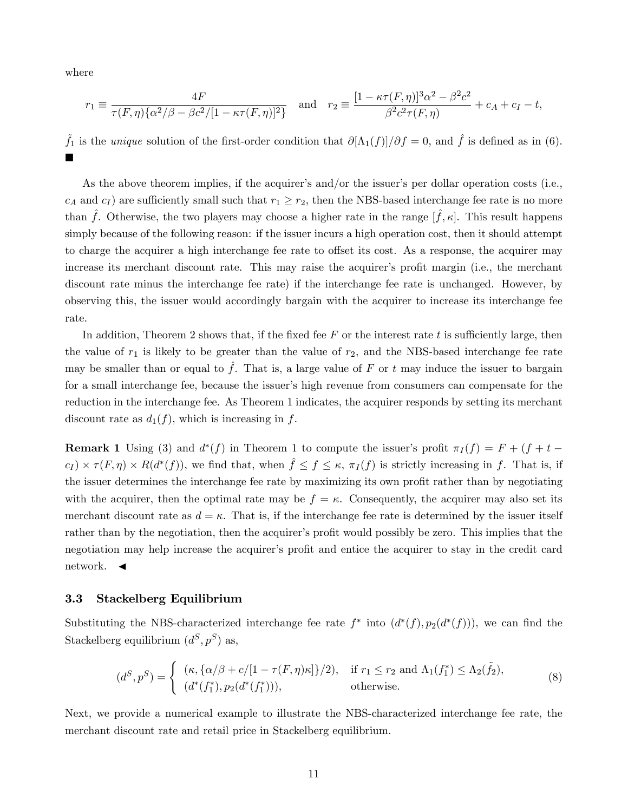where

$$
r_1 \equiv \frac{4F}{\tau(F,\eta)\{\alpha^2/\beta - \beta c^2/[1 - \kappa \tau(F,\eta)]^2\}} \quad \text{and} \quad r_2 \equiv \frac{[1 - \kappa \tau(F,\eta)]^3 \alpha^2 - \beta^2 c^2}{\beta^2 c^2 \tau(F,\eta)} + c_A + c_I - t,
$$

 $\tilde{f}_1$  is the unique solution of the first-order condition that  $\partial[\Lambda_1(f)]/\partial f = 0$ , and  $\hat{f}$  is defined as in (6). ■

As the above theorem implies, if the acquirer's and/or the issuer's per dollar operation costs (i.e.,  $c_A$  and  $c_I$ ) are sufficiently small such that  $r_1 \ge r_2$ , then the NBS-based interchange fee rate is no more than  $\hat{f}$ . Otherwise, the two players may choose a higher rate in the range  $[\hat{f}, \kappa]$ . This result happens simply because of the following reason: if the issuer incurs a high operation cost, then it should attempt to charge the acquirer a high interchange fee rate to offset its cost. As a response, the acquirer may increase its merchant discount rate. This may raise the acquirer's profit margin (i.e., the merchant discount rate minus the interchange fee rate) if the interchange fee rate is unchanged. However, by observing this, the issuer would accordingly bargain with the acquirer to increase its interchange fee rate.

In addition, Theorem 2 shows that, if the fixed fee  $F$  or the interest rate t is sufficiently large, then the value of  $r_1$  is likely to be greater than the value of  $r_2$ , and the NBS-based interchange fee rate may be smaller than or equal to  $f$ . That is, a large value of F or t may induce the issuer to bargain for a small interchange fee, because the issuer's high revenue from consumers can compensate for the reduction in the interchange fee. As Theorem 1 indicates, the acquirer responds by setting its merchant discount rate as  $d_1(f)$ , which is increasing in f.

**Remark 1** Using (3) and  $d^*(f)$  in Theorem 1 to compute the issuer's profit  $\pi_I(f) = F + (f + t$  $c_I$   $\times \tau(F, \eta) \times R(d^*(f))$ , we find that, when  $\hat{f} \leq f \leq \kappa$ ,  $\pi_I(f)$  is strictly increasing in f. That is, if the issuer determines the interchange fee rate by maximizing its own profit rather than by negotiating with the acquirer, then the optimal rate may be  $f = \kappa$ . Consequently, the acquirer may also set its merchant discount rate as  $d = \kappa$ . That is, if the interchange fee rate is determined by the issuer itself rather than by the negotiation, then the acquirer's profit would possibly be zero. This implies that the negotiation may help increase the acquirer's profit and entice the acquirer to stay in the credit card network.  $\triangleleft$ 

#### 3.3 Stackelberg Equilibrium

Substituting the NBS-characterized interchange fee rate  $f^*$  into  $(d^*(f), p_2(d^*(f)))$ , we can find the Stackelberg equilibrium  $(d^S, p^S)$  as,

$$
(d^{S}, p^{S}) = \begin{cases} (\kappa, {\alpha/\beta + c/[1 - \tau(F, \eta)\kappa]}/2), & \text{if } r_{1} \leq r_{2} \text{ and } \Lambda_{1}(f_{1}^{*}) \leq \Lambda_{2}(\tilde{f}_{2}), \\ (d^{*}(f_{1}^{*}), p_{2}(d^{*}(f_{1}^{*}))), & \text{otherwise.} \end{cases}
$$
(8)

Next, we provide a numerical example to illustrate the NBS-characterized interchange fee rate, the merchant discount rate and retail price in Stackelberg equilibrium.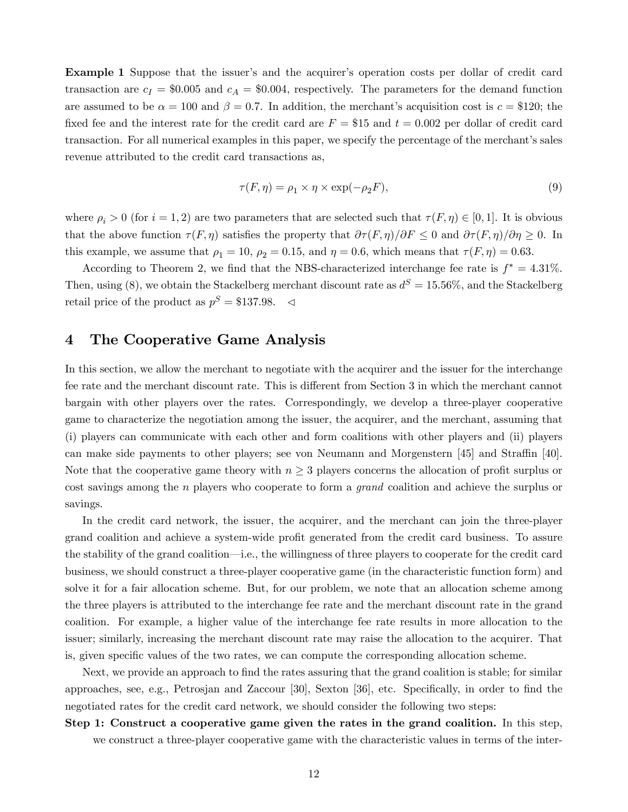**Example 1** Suppose that the issuer's and the acquirer's operation costs per dollar of credit card transaction are  $c_I = $0.005$  and  $c_A = $0.004$ , respectively. The parameters for the demand function are assumed to be  $\alpha = 100$  and  $\beta = 0.7$ . In addition, the merchant's acquisition cost is  $c = $120$ ; the fixed fee and the interest rate for the credit card are  $F = $15$  and  $t = 0.002$  per dollar of credit card transaction. For all numerical examples in this paper, we specify the percentage of the merchant's sales revenue attributed to the credit card transactions as,

$$
\tau(F,\eta) = \rho_1 \times \eta \times \exp(-\rho_2 F),\tag{9}
$$

where  $\rho_i > 0$  (for  $i = 1, 2$ ) are two parameters that are selected such that  $\tau(F, \eta) \in [0, 1]$ . It is obvious that the above function  $\tau(F, \eta)$  satisfies the property that  $\partial \tau(F, \eta)/\partial F \leq 0$  and  $\partial \tau(F, \eta)/\partial \eta \geq 0$ . In this example, we assume that  $\rho_1 = 10$ ,  $\rho_2 = 0.15$ , and  $\eta = 0.6$ , which means that  $\tau(F, \eta) = 0.63$ .

According to Theorem 2, we find that the NBS-characterized interchange fee rate is  $f^* = 4.31\%$ . Then, using (8), we obtain the Stackelberg merchant discount rate as  $d^S = 15.56\%$ , and the Stackelberg retail price of the product as  $p^S = $137.98$ .  $\triangleleft$ 

## 4 The Cooperative Game Analysis

In this section, we allow the merchant to negotiate with the acquirer and the issuer for the interchange fee rate and the merchant discount rate. This is different from Section 3 in which the merchant cannot bargain with other players over the rates. Correspondingly, we develop a three-player cooperative game to characterize the negotiation among the issuer, the acquirer, and the merchant, assuming that (i) players can communicate with each other and form coalitions with other players and (ii) players can make side payments to other players; see von Neumann and Morgenstern  $[45]$  and Straffin  $[40]$ . Note that the cooperative game theory with  $n \geq 3$  players concerns the allocation of profit surplus or cost savings among the n players who cooperate to form a *grand* coalition and achieve the surplus or savings.

In the credit card network, the issuer, the acquirer, and the merchant can join the three-player grand coalition and achieve a system-wide profit generated from the credit card business. To assure the stability of the grand coalition—i.e., the willingness of three players to cooperate for the credit card business, we should construct a three-player cooperative game (in the characteristic function form) and solve it for a fair allocation scheme. But, for our problem, we note that an allocation scheme among the three players is attributed to the interchange fee rate and the merchant discount rate in the grand coalition. For example, a higher value of the interchange fee rate results in more allocation to the issuer; similarly, increasing the merchant discount rate may raise the allocation to the acquirer. That is, given specific values of the two rates, we can compute the corresponding allocation scheme.

Next, we provide an approach to find the rates assuring that the grand coalition is stable; for similar approaches, see, e.g., Petrosjan and Zaccour  $|30|$ , Sexton  $|36|$ , etc. Specifically, in order to find the negotiated rates for the credit card network, we should consider the following two steps:

Step 1: Construct a cooperative game given the rates in the grand coalition. In this step, we construct a three-player cooperative game with the characteristic values in terms of the inter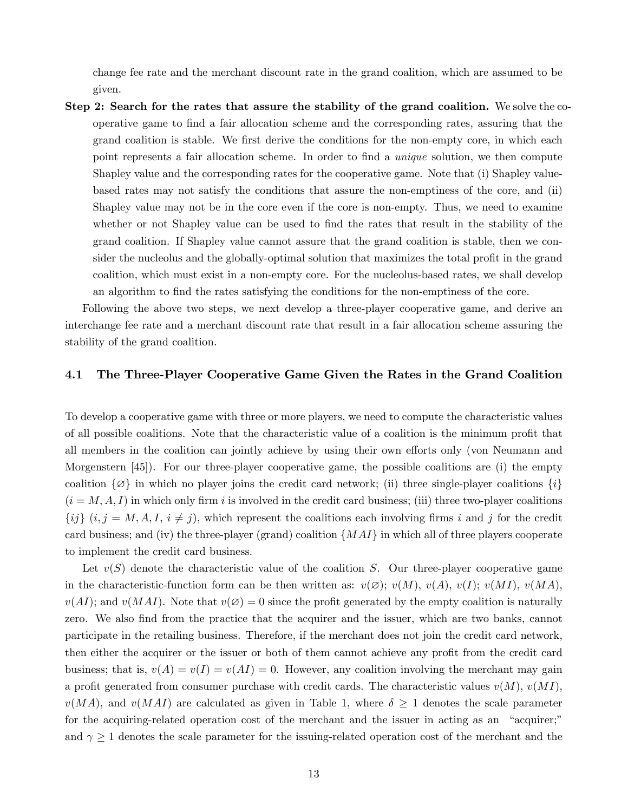change fee rate and the merchant discount rate in the grand coalition, which are assumed to be given.

Step 2: Search for the rates that assure the stability of the grand coalition. We solve the cooperative game to Önd a fair allocation scheme and the corresponding rates, assuring that the grand coalition is stable. We first derive the conditions for the non-empty core, in which each point represents a fair allocation scheme. In order to find a *unique* solution, we then compute Shapley value and the corresponding rates for the cooperative game. Note that (i) Shapley valuebased rates may not satisfy the conditions that assure the non-emptiness of the core, and (ii) Shapley value may not be in the core even if the core is non-empty. Thus, we need to examine whether or not Shapley value can be used to find the rates that result in the stability of the grand coalition. If Shapley value cannot assure that the grand coalition is stable, then we consider the nucleolus and the globally-optimal solution that maximizes the total profit in the grand coalition, which must exist in a non-empty core. For the nucleolus-based rates, we shall develop an algorithm to find the rates satisfying the conditions for the non-emptiness of the core.

Following the above two steps, we next develop a three-player cooperative game, and derive an interchange fee rate and a merchant discount rate that result in a fair allocation scheme assuring the stability of the grand coalition.

#### 4.1 The Three-Player Cooperative Game Given the Rates in the Grand Coalition

To develop a cooperative game with three or more players, we need to compute the characteristic values of all possible coalitions. Note that the characteristic value of a coalition is the minimum profit that all members in the coalition can jointly achieve by using their own efforts only (von Neumann and Morgenstern [45]). For our three-player cooperative game, the possible coalitions are (i) the empty coalition  $\{\varnothing\}$  in which no player joins the credit card network; (ii) three single-player coalitions  $\{i\}$  $(i = M, A, I)$  in which only firm i is involved in the credit card business; (iii) three two-player coalitions  $\{ij\}$   $(i, j = M, A, I, i \neq j)$ , which represent the coalitions each involving firms i and j for the credit card business; and (iv) the three-player (grand) coalition  $\{MAI\}$  in which all of three players cooperate to implement the credit card business.

Let  $v(S)$  denote the characteristic value of the coalition S. Our three-player cooperative game in the characteristic-function form can be then written as:  $v(\emptyset); v(M), v(A), v(I); v(M), v(M),$  $v(AI)$ ; and  $v(MAI)$ . Note that  $v(\emptyset) = 0$  since the profit generated by the empty coalition is naturally zero. We also find from the practice that the acquirer and the issuer, which are two banks, cannot participate in the retailing business. Therefore, if the merchant does not join the credit card network, then either the acquirer or the issuer or both of them cannot achieve any profit from the credit card business; that is,  $v(A) = v(I) = v(AI) = 0$ . However, any coalition involving the merchant may gain a profit generated from consumer purchase with credit cards. The characteristic values  $v(M), v(M)$ ,  $v(MA)$ , and  $v(MAI)$  are calculated as given in Table 1, where  $\delta \geq 1$  denotes the scale parameter for the acquiring-related operation cost of the merchant and the issuer in acting as an "acquirer;" and  $\gamma \geq 1$  denotes the scale parameter for the issuing-related operation cost of the merchant and the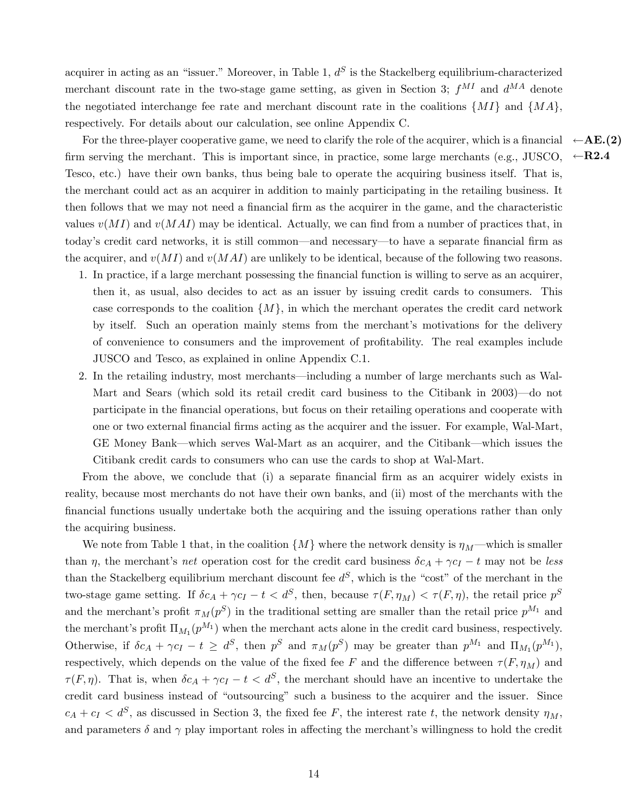acquirer in acting as an "issuer." Moreover, in Table 1,  $d^S$  is the Stackelberg equilibrium-characterized merchant discount rate in the two-stage game setting, as given in Section 3;  $f^{MI}$  and  $d^{MA}$  denote the negotiated interchange fee rate and merchant discount rate in the coalitions  $\{MI\}$  and  $\{MA\}$ , respectively. For details about our calculation, see online Appendix C.

For the three-player cooperative game, we need to clarify the role of the acquirer, which is a financial  $\leftarrow$ **AE.(2)** firm serving the merchant. This is important since, in practice, some large merchants (e.g., JUSCO,  $\leftarrow$ R2.4 Tesco, etc.) have their own banks, thus being bale to operate the acquiring business itself. That is, the merchant could act as an acquirer in addition to mainly participating in the retailing business. It then follows that we may not need a financial firm as the acquirer in the game, and the characteristic values  $v(MI)$  and  $v(MAI)$  may be identical. Actually, we can find from a number of practices that, in today's credit card networks, it is still common—and necessary—to have a separate financial firm as the acquirer, and  $v(MI)$  and  $v(MAI)$  are unlikely to be identical, because of the following two reasons.

- 1. In practice, if a large merchant possessing the Önancial function is willing to serve as an acquirer, then it, as usual, also decides to act as an issuer by issuing credit cards to consumers. This case corresponds to the coalition  $\{M\}$ , in which the merchant operates the credit card network by itself. Such an operation mainly stems from the merchant's motivations for the delivery of convenience to consumers and the improvement of proÖtability. The real examples include JUSCO and Tesco, as explained in online Appendix C.1.
- 2. In the retailing industry, most merchants—including a number of large merchants such as Wal-Mart and Sears (which sold its retail credit card business to the Citibank in  $2003$ )—do not participate in the Önancial operations, but focus on their retailing operations and cooperate with one or two external Önancial Örms acting as the acquirer and the issuer. For example, Wal-Mart, GE Money Bank—which serves Wal-Mart as an acquirer, and the Citibank—which issues the Citibank credit cards to consumers who can use the cards to shop at Wal-Mart.

From the above, we conclude that (i) a separate financial firm as an acquirer widely exists in reality, because most merchants do not have their own banks, and (ii) most of the merchants with the Önancial functions usually undertake both the acquiring and the issuing operations rather than only the acquiring business.

We note from Table 1 that, in the coalition  $\{M\}$  where the network density is  $\eta_M$ —which is smaller than  $\eta$ , the merchant's net operation cost for the credit card business  $\delta c_A + \gamma c_I - t$  may not be less than the Stackelberg equilibrium merchant discount fee  $d^S$ , which is the "cost" of the merchant in the two-stage game setting. If  $\delta c_A + \gamma c_I - t < d^S$ , then, because  $\tau(F, \eta_M) < \tau(F, \eta)$ , the retail price  $p^S$ and the merchant's profit  $\pi_M(p^S)$  in the traditional setting are smaller than the retail price  $p^{M_1}$  and the merchant's profit  $\Pi_{M_1}(p^{M_1})$  when the merchant acts alone in the credit card business, respectively. Otherwise, if  $\delta c_A + \gamma c_I - t \geq d^S$ , then  $p^S$  and  $\pi_M(p^S)$  may be greater than  $p^{M_1}$  and  $\Pi_{M_1}(p^{M_1})$ , respectively, which depends on the value of the fixed fee F and the difference between  $\tau(F, \eta_M)$  and  $\tau(F,\eta)$ . That is, when  $\delta c_A + \gamma c_I - t < d^S$ , the merchant should have an incentive to undertake the credit card business instead of "outsourcing" such a business to the acquirer and the issuer. Since  $c_A + c_I < d^S$ , as discussed in Section 3, the fixed fee F, the interest rate t, the network density  $\eta_M$ , and parameters  $\delta$  and  $\gamma$  play important roles in affecting the merchant's willingness to hold the credit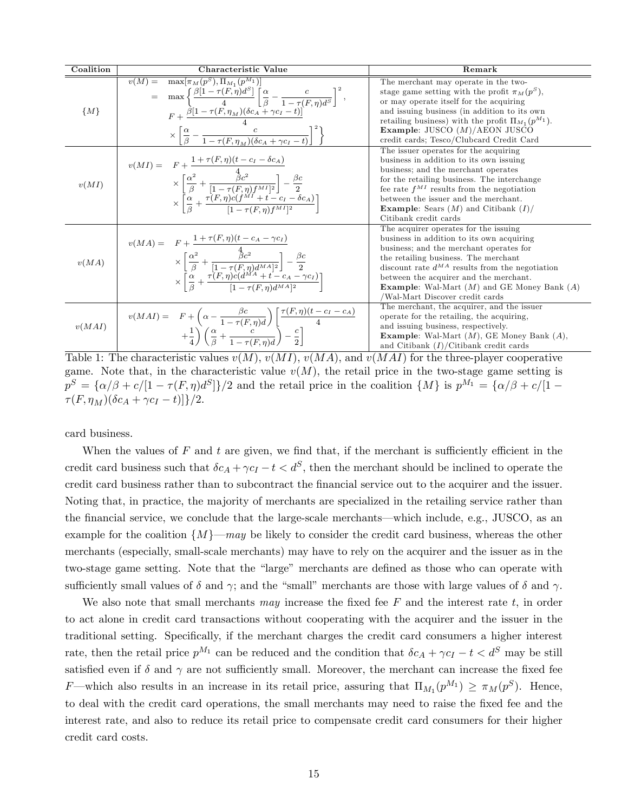| Coalition | Characteristic Value                                                                                                                                                                                                                                                                                                                                                                                                                                                                                                                                                  | Remark                                                                                                                                                                                                                                                                                                                                                              |
|-----------|-----------------------------------------------------------------------------------------------------------------------------------------------------------------------------------------------------------------------------------------------------------------------------------------------------------------------------------------------------------------------------------------------------------------------------------------------------------------------------------------------------------------------------------------------------------------------|---------------------------------------------------------------------------------------------------------------------------------------------------------------------------------------------------------------------------------------------------------------------------------------------------------------------------------------------------------------------|
| $\{M\}$   | $v(M) =$<br>$\max[\pi_M(p^S), \Pi_{M_1}(p^{M_1})]$<br>$\begin{array}{rl} = & \displaystyle \max \left\{ \frac{\beta [1- \tau (F,\eta )d^S]}{4} \left[ \frac{\alpha }{\beta } - \frac{c}{1-\tau (F,\eta )d^S} \right]^2, \right. \\ & \left. F + \frac{\beta [1- \tau (F,\eta_M )(\delta c_A + \gamma c_I - t)]}{4} \right. \end{array}$<br>$\times \left[ \frac{\alpha}{\beta} - \frac{c}{1 - \tau(F, \eta_M)(\delta c_A + \gamma c_I - t)} \right]^2 \right\}$                                                                                                       | The merchant may operate in the two-<br>stage game setting with the profit $\pi_M(p^s)$ ,<br>or may operate itself for the acquiring<br>and issuing business (in addition to its own<br>retailing business) with the profit $\Pi_{M_1}(p^{M_1})$ .<br><b>Example:</b> JUSCO $(M)/$ AEON JUSCO<br>credit cards; Tesco/Clubcard Credit Card                           |
| v(MI)     | $v(MI) = F + \frac{1 + \tau(F, \eta)(t - c_I - \delta c_A)}{1 + \tau(F, \eta)(t - c_I - \delta c_A)}$<br>$\begin{array}{l} \times \left[\frac{\alpha^2}{\beta} + \frac{\beta c^2}{[1-\tau(F,\eta) f^{MI}]^2}\right] - \frac{\beta c}{2} \\ \times \left[\frac{\alpha}{\beta} + \frac{\tau(F,\eta) c(f^{MI}+t-c_I-\delta c_A)}{[1-\tau(F,\eta) f^{MI}]^2}\right] \end{array}$                                                                                                                                                                                          | The issuer operates for the acquiring<br>business in addition to its own issuing<br>business; and the merchant operates<br>for the retailing business. The interchange<br>fee rate $f^{MI}$ results from the negotiation<br>between the issuer and the merchant.<br><b>Example:</b> Sears $(M)$ and Citibank $(I)$<br>Citibank credit cards                         |
| v(MA)     | $v(MA) = F + \frac{1 + \tau(F, \eta)(t - c_A - \gamma c_I)}{4}$<br>$\begin{array}{l} \vspace{2mm} \begin{array}{l} \vspace{2mm} \begin{array}{c} \vspace{2mm} \begin{array}{c} \vspace{2mm} \begin{array}{c} \vspace{2mm} \end{array} & \frac{4}{\beta} c^2 \\ \vspace{2mm} \times \begin{bmatrix} \alpha^2 \\ \beta \end{array} + \frac{1}{[1-\tau(F,\eta)d^{MA}]^2} \end{bmatrix} - \frac{\beta c}{2} \\ \vspace{2mm} \times \begin{bmatrix} \alpha \\ \beta \end{bmatrix} + \frac{\tau(F,\eta)c(d^{MA}+t-c_A-\gamma c_I)}{[1-\tau(F,\eta)d^{MA}]^2} \end{array} \$ | The acquirer operates for the issuing<br>business in addition to its own acquiring<br>business; and the merchant operates for<br>the retailing business. The merchant<br>discount rate $d^{MA}$ results from the negotiation<br>between the acquirer and the merchant.<br><b>Example:</b> Wal-Mart $(M)$ and GE Money Bank $(A)$<br>/Wal-Mart Discover credit cards |
| v(MAI)    | $v(MAI) = F + \left(\alpha - \frac{\beta c}{1 - \tau(F, \eta)d}\right) \left[\frac{\tau(F, \eta)(t - c_I - c_A)}{4}\right]$<br>$+\frac{1}{4}\left(\frac{\alpha}{\beta}+\frac{c^{\prime\prime}}{1-\tau(F_{\alpha})^2}\right)-\frac{c}{2}\right]$                                                                                                                                                                                                                                                                                                                       | The merchant, the acquirer, and the issuer<br>operate for the retailing, the acquiring,<br>and issuing business, respectively.<br><b>Example:</b> Wal-Mart $(M)$ , GE Money Bank $(A)$ ,<br>and Citibank $(I)/C$ itibank credit cards                                                                                                                               |

Table 1: The characteristic values  $v(M)$ ,  $v(MI)$ ,  $v(MA)$ , and  $v(MAI)$  for the three-player cooperative game. Note that, in the characteristic value  $v(M)$ , the retail price in the two-stage game setting is  $p^S = {\alpha/\beta + c/[1 - \tau(F, \eta)d^S]}/2$  and the retail price in the coalition  ${M}$  is  $p^{M_1} = {\alpha/\beta + c/[1 - \tau(F, \eta)d^S]}$  $\tau(F, \eta_M)(\delta c_A + \gamma c_I - t)]/2.$ 

card business.

When the values of  $F$  and  $t$  are given, we find that, if the merchant is sufficiently efficient in the credit card business such that  $\delta c_A + \gamma c_I - t < d^S$ , then the merchant should be inclined to operate the credit card business rather than to subcontract the financial service out to the acquirer and the issuer. Noting that, in practice, the majority of merchants are specialized in the retailing service rather than the financial service, we conclude that the large-scale merchants—which include, e.g.,  $JUSCO$ , as an example for the coalition  ${M}$ —may be likely to consider the credit card business, whereas the other merchants (especially, small-scale merchants) may have to rely on the acquirer and the issuer as in the two-stage game setting. Note that the "large" merchants are defined as those who can operate with sufficiently small values of  $\delta$  and  $\gamma$ ; and the "small" merchants are those with large values of  $\delta$  and  $\gamma$ .

We also note that small merchants may increase the fixed fee  $F$  and the interest rate  $t$ , in order to act alone in credit card transactions without cooperating with the acquirer and the issuer in the traditional setting. Specifically, if the merchant charges the credit card consumers a higher interest rate, then the retail price  $p^{M_1}$  can be reduced and the condition that  $\delta c_A + \gamma c_I - t < d^S$  may be still satisfied even if  $\delta$  and  $\gamma$  are not sufficiently small. Moreover, the merchant can increase the fixed fee F—which also results in an increase in its retail price, assuring that  $\Pi_{M_1}(p^{M_1}) \geq \pi_M(p^S)$ . Hence, to deal with the credit card operations, the small merchants may need to raise the Öxed fee and the interest rate, and also to reduce its retail price to compensate credit card consumers for their higher credit card costs.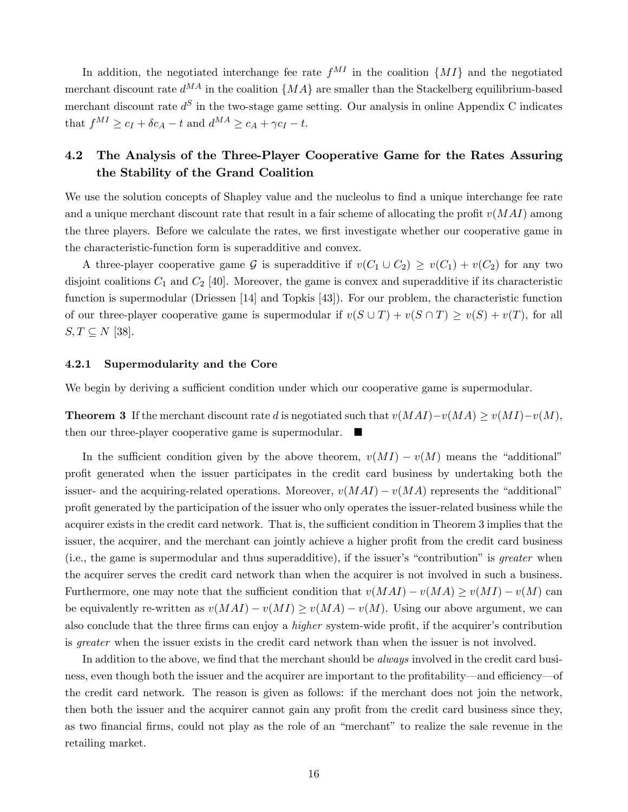In addition, the negotiated interchange fee rate  $f^{MI}$  in the coalition  $\{MI\}$  and the negotiated merchant discount rate  $d^{MA}$  in the coalition  $\{MA\}$  are smaller than the Stackelberg equilibrium-based merchant discount rate  $d^S$  in the two-stage game setting. Our analysis in online Appendix C indicates that  $f^{MI} \geq c_I + \delta c_A - t$  and  $d^{MA} \geq c_A + \gamma c_I - t$ .

# 4.2 The Analysis of the Three-Player Cooperative Game for the Rates Assuring the Stability of the Grand Coalition

We use the solution concepts of Shapley value and the nucleolus to find a unique interchange fee rate and a unique merchant discount rate that result in a fair scheme of allocating the profit  $v(MAI)$  among the three players. Before we calculate the rates, we first investigate whether our cooperative game in the characteristic-function form is superadditive and convex.

A three-player cooperative game G is superadditive if  $v(C_1 \cup C_2) \ge v(C_1) + v(C_2)$  for any two disjoint coalitions  $C_1$  and  $C_2$  [40]. Moreover, the game is convex and superadditive if its characteristic function is supermodular (Driessen [14] and Topkis [43]). For our problem, the characteristic function of our three-player cooperative game is supermodular if  $v(S \cup T) + v(S \cap T) \ge v(S) + v(T)$ , for all  $S, T \subseteq N$  [38].

#### 4.2.1 Supermodularity and the Core

We begin by deriving a sufficient condition under which our cooperative game is supermodular.

**Theorem 3** If the merchant discount rate d is negotiated such that  $v(MAI)-v(MA) \geq v(MI)-v(M)$ , then our three-player cooperative game is supermodular.

In the sufficient condition given by the above theorem,  $v(MI) - v(M)$  means the "additional" profit generated when the issuer participates in the credit card business by undertaking both the issuer- and the acquiring-related operations. Moreover,  $v(MAI) - v(MA)$  represents the "additional" profit generated by the participation of the issuer who only operates the issuer-related business while the acquirer exists in the credit card network. That is, the sufficient condition in Theorem 3 implies that the issuer, the acquirer, and the merchant can jointly achieve a higher profit from the credit card business (i.e., the game is supermodular and thus superadditive), if the issuer's "contribution" is greater when the acquirer serves the credit card network than when the acquirer is not involved in such a business. Furthermore, one may note that the sufficient condition that  $v(MAI) - v(MA) \ge v(MI) - v(M)$  can be equivalently re-written as  $v(MAI) - v(MI) \ge v(MA) - v(M)$ . Using our above argument, we can also conclude that the three firms can enjoy a *higher* system-wide profit, if the acquirer's contribution is greater when the issuer exists in the credit card network than when the issuer is not involved.

In addition to the above, we find that the merchant should be *always* involved in the credit card business, even though both the issuer and the acquirer are important to the profitability—and efficiency—of the credit card network. The reason is given as follows: if the merchant does not join the network, then both the issuer and the acquirer cannot gain any profit from the credit card business since they, as two financial firms, could not play as the role of an "merchant" to realize the sale revenue in the retailing market.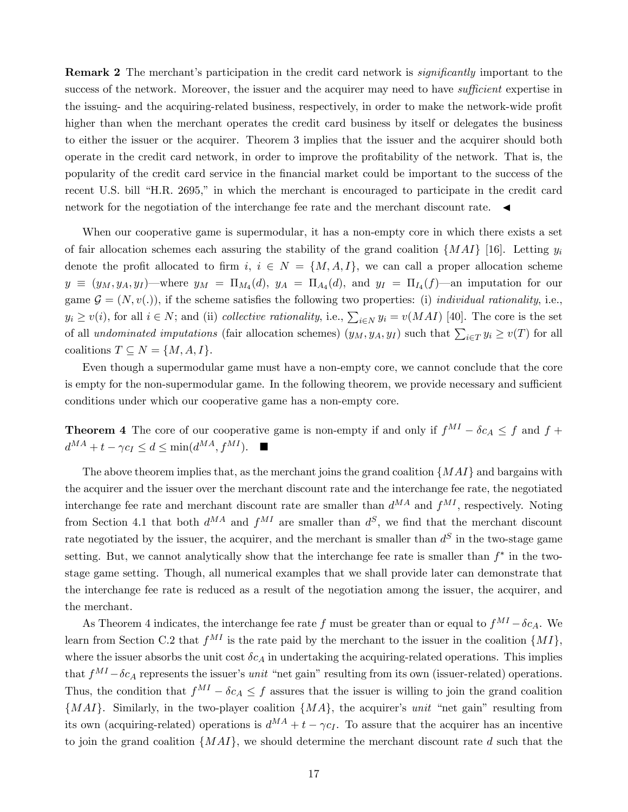**Remark 2** The merchant's participation in the credit card network is *significantly* important to the success of the network. Moreover, the issuer and the acquirer may need to have *sufficient* expertise in the issuing- and the acquiring-related business, respectively, in order to make the network-wide profit higher than when the merchant operates the credit card business by itself or delegates the business to either the issuer or the acquirer. Theorem 3 implies that the issuer and the acquirer should both operate in the credit card network, in order to improve the profitability of the network. That is, the popularity of the credit card service in the Önancial market could be important to the success of the recent U.S. bill "H.R. 2695," in which the merchant is encouraged to participate in the credit card network for the negotiation of the interchange fee rate and the merchant discount rate.  $\blacktriangleleft$ 

When our cooperative game is supermodular, it has a non-empty core in which there exists a set of fair allocation schemes each assuring the stability of the grand coalition  $\{MAI\}$  [16]. Letting  $y_i$ denote the profit allocated to firm  $i, i \in N = \{M, A, I\}$ , we can call a proper allocation scheme  $y \equiv (y_M, y_A, y_I)$  — where  $y_M = \Pi_{M_4}(d)$ ,  $y_A = \Pi_{A_4}(d)$ , and  $y_I = \Pi_{I_4}(f)$  — an imputation for our game  $\mathcal{G} = (N, v(.))$ , if the scheme satisfies the following two properties: (i) *individual rationality*, i.e.,  $y_i \ge v(i)$ , for all  $i \in N$ ; and (ii) *collective rationality*, i.e.,  $\sum_{i \in N} y_i = v(MAI)$  [40]. The core is the set of all undominated imputations (fair allocation schemes)  $(y_M, y_A, y_I)$  such that  $\sum_{i \in T} y_i \ge v(T)$  for all coalitions  $T \subseteq N = \{M, A, I\}.$ 

Even though a supermodular game must have a non-empty core, we cannot conclude that the core is empty for the non-supermodular game. In the following theorem, we provide necessary and sufficient conditions under which our cooperative game has a non-empty core.

**Theorem 4** The core of our cooperative game is non-empty if and only if  $f^{MI} - \delta c_A \leq f$  and  $f +$  $d^{MA} + t - \gamma c_I \leq d \leq \min(d^{MA}, f^{MI}).$ 

The above theorem implies that, as the merchant joins the grand coalition  $\{MAI\}$  and bargains with the acquirer and the issuer over the merchant discount rate and the interchange fee rate, the negotiated interchange fee rate and merchant discount rate are smaller than  $d^{MA}$  and  $f^{MI}$ , respectively. Noting from Section 4.1 that both  $d^{MA}$  and  $f^{MI}$  are smaller than  $d^S$ , we find that the merchant discount rate negotiated by the issuer, the acquirer, and the merchant is smaller than  $d^S$  in the two-stage game setting. But, we cannot analytically show that the interchange fee rate is smaller than  $f^*$  in the twostage game setting. Though, all numerical examples that we shall provide later can demonstrate that the interchange fee rate is reduced as a result of the negotiation among the issuer, the acquirer, and the merchant.

As Theorem 4 indicates, the interchange fee rate f must be greater than or equal to  $f^{MI} - \delta c_A$ . We learn from Section C.2 that  $f^{MI}$  is the rate paid by the merchant to the issuer in the coalition  $\{MI\}$ , where the issuer absorbs the unit cost  $\delta c_A$  in undertaking the acquiring-related operations. This implies that  $f^{MI}-\delta c_A$  represents the issuer's unit "net gain" resulting from its own (issuer-related) operations. Thus, the condition that  $f^{MI} - \delta c_A \leq f$  assures that the issuer is willing to join the grand coalition  $\{MAI\}$ . Similarly, in the two-player coalition  $\{MA\}$ , the acquirer's unit "net gain" resulting from its own (acquiring-related) operations is  $d^{MA} + t - \gamma c_I$ . To assure that the acquirer has an incentive to join the grand coalition  $\{MAI\}$ , we should determine the merchant discount rate d such that the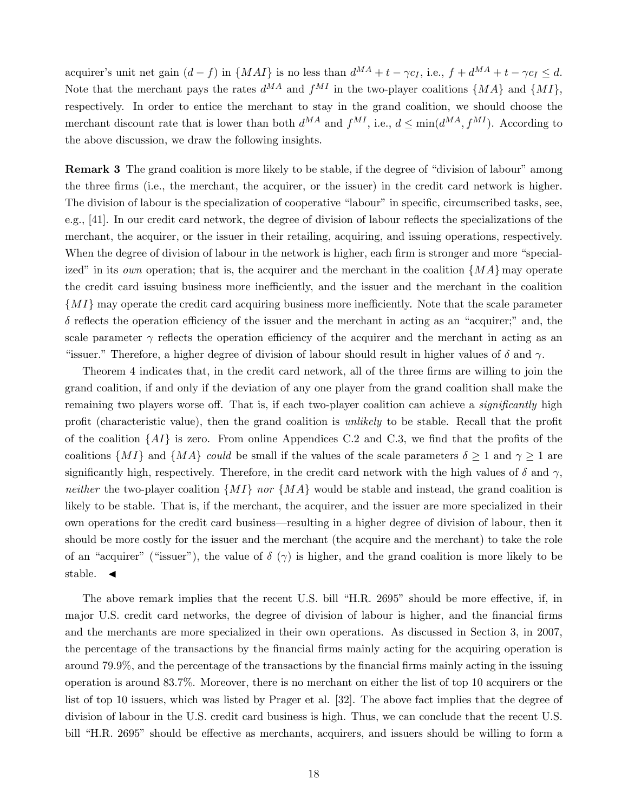acquirer's unit net gain  $(d - f)$  in  $\{MAI\}$  is no less than  $d^{MA} + t - \gamma c_I$ , i.e.,  $f + d^{MA} + t - \gamma c_I \leq d$ . Note that the merchant pays the rates  $d^{MA}$  and  $f^{MI}$  in the two-player coalitions  $\{MA\}$  and  $\{MI\}$ , respectively. In order to entice the merchant to stay in the grand coalition, we should choose the merchant discount rate that is lower than both  $d^{MA}$  and  $f^{MI}$ , i.e.,  $d \le \min(d^{MA}, f^{MI})$ . According to the above discussion, we draw the following insights.

**Remark 3** The grand coalition is more likely to be stable, if the degree of "division of labour" among the three Örms (i.e., the merchant, the acquirer, or the issuer) in the credit card network is higher. The division of labour is the specialization of cooperative "labour" in specific, circumscribed tasks, see, e.g., [41]. In our credit card network, the degree of division of labour reflects the specializations of the merchant, the acquirer, or the issuer in their retailing, acquiring, and issuing operations, respectively. When the degree of division of labour in the network is higher, each firm is stronger and more "specialized" in its *own* operation; that is, the acquirer and the merchant in the coalition  ${MA}$  may operate the credit card issuing business more inefficiently, and the issuer and the merchant in the coalition  $\{MI\}$  may operate the credit card acquiring business more inefficiently. Note that the scale parameter  $\delta$  reflects the operation efficiency of the issuer and the merchant in acting as an "acquirer;" and, the scale parameter  $\gamma$  reflects the operation efficiency of the acquirer and the merchant in acting as an "issuer." Therefore, a higher degree of division of labour should result in higher values of  $\delta$  and  $\gamma$ .

Theorem 4 indicates that, in the credit card network, all of the three firms are willing to join the grand coalition, if and only if the deviation of any one player from the grand coalition shall make the remaining two players worse off. That is, if each two-player coalition can achieve a *significantly* high profit (characteristic value), then the grand coalition is *unlikely* to be stable. Recall that the profit of the coalition  $\{AI\}$  is zero. From online Appendices C.2 and C.3, we find that the profits of the coalitions  $\{MI\}$  and  $\{MA\}$  could be small if the values of the scale parameters  $\delta \geq 1$  and  $\gamma \geq 1$  are significantly high, respectively. Therefore, in the credit card network with the high values of  $\delta$  and  $\gamma$ , neither the two-player coalition  $\{MI\}$  nor  $\{MA\}$  would be stable and instead, the grand coalition is likely to be stable. That is, if the merchant, the acquirer, and the issuer are more specialized in their own operations for the credit card business—resulting in a higher degree of division of labour, then it should be more costly for the issuer and the merchant (the acquire and the merchant) to take the role of an "acquirer" ("issuer"), the value of  $\delta(\gamma)$  is higher, and the grand coalition is more likely to be stable.  $\triangleleft$ 

The above remark implies that the recent U.S. bill "H.R. 2695" should be more effective, if, in major U.S. credit card networks, the degree of division of labour is higher, and the financial firms and the merchants are more specialized in their own operations. As discussed in Section 3, in 2007, the percentage of the transactions by the financial firms mainly acting for the acquiring operation is around 79.9%, and the percentage of the transactions by the financial firms mainly acting in the issuing operation is around 83.7%. Moreover, there is no merchant on either the list of top 10 acquirers or the list of top 10 issuers, which was listed by Prager et al. [32]. The above fact implies that the degree of division of labour in the U.S. credit card business is high. Thus, we can conclude that the recent U.S. bill "H.R. 2695" should be effective as merchants, acquirers, and issuers should be willing to form a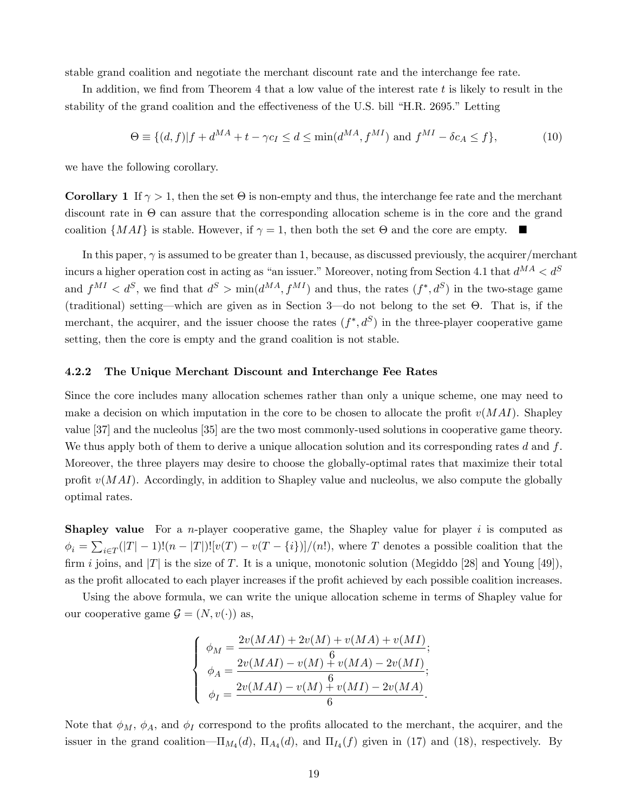stable grand coalition and negotiate the merchant discount rate and the interchange fee rate.

In addition, we find from Theorem 4 that a low value of the interest rate  $t$  is likely to result in the stability of the grand coalition and the effectiveness of the U.S. bill "H.R. 2695." Letting

$$
\Theta \equiv \{ (d, f)|f + d^{MA} + t - \gamma c_I \le d \le \min(d^{MA}, f^{MI}) \text{ and } f^{MI} - \delta c_A \le f \},\tag{10}
$$

we have the following corollary.

**Corollary** 1 If  $\gamma > 1$ , then the set  $\Theta$  is non-empty and thus, the interchange fee rate and the merchant discount rate in  $\Theta$  can assure that the corresponding allocation scheme is in the core and the grand coalition  $\{MAI\}$  is stable. However, if  $\gamma = 1$ , then both the set  $\Theta$  and the core are empty.

In this paper,  $\gamma$  is assumed to be greater than 1, because, as discussed previously, the acquirer/merchant incurs a higher operation cost in acting as "an issuer." Moreover, noting from Section 4.1 that  $d^{MA} < d^S$ and  $f^{MI} < d^S$ , we find that  $d^S > min(d^{MA}, f^{MI})$  and thus, the rates  $(f^*, d^S)$  in the two-stage game (traditional) setting—which are given as in Section 3—do not belong to the set  $\Theta$ . That is, if the merchant, the acquirer, and the issuer choose the rates  $(f^*, d^S)$  in the three-player cooperative game setting, then the core is empty and the grand coalition is not stable.

### 4.2.2 The Unique Merchant Discount and Interchange Fee Rates

Since the core includes many allocation schemes rather than only a unique scheme, one may need to make a decision on which imputation in the core to be chosen to allocate the profit  $v(MAI)$ . Shapley value [37] and the nucleolus [35] are the two most commonly-used solutions in cooperative game theory. We thus apply both of them to derive a unique allocation solution and its corresponding rates d and  $f$ . Moreover, the three players may desire to choose the globally-optimal rates that maximize their total profit  $v(MAI)$ . Accordingly, in addition to Shapley value and nucleolus, we also compute the globally optimal rates.

**Shapley value** For a *n*-player cooperative game, the Shapley value for player  $i$  is computed as  $\phi_i = \sum_{i \in T}(|T|-1)!(n-|T|)![v(T) - v(T - \{i\})]/(n!)$ , where T denotes a possible coalition that the firm i joins, and  $|T|$  is the size of T. It is a unique, monotonic solution (Megiddo [28] and Young [49]), as the profit allocated to each player increases if the profit achieved by each possible coalition increases.

Using the above formula, we can write the unique allocation scheme in terms of Shapley value for our cooperative game  $\mathcal{G} = (N, v(\cdot))$  as,

$$
\begin{cases}\n\phi_M = \frac{2v(MAI) + 2v(M) + v(MA) + v(MI)}{6}; \\
\phi_A = \frac{2v(MAI) - v(M) + v(MA) - 2v(MI)}{6}; \\
\phi_I = \frac{2v(MAI) - v(M) + v(MI) - 2v(MA)}{6}.\n\end{cases}
$$

Note that  $\phi_M$ ,  $\phi_A$ , and  $\phi_I$  correspond to the profits allocated to the merchant, the acquirer, and the issuer in the grand coalition— $\Pi_{M_4}(d)$ ,  $\Pi_{A_4}(d)$ , and  $\Pi_{I_4}(f)$  given in (17) and (18), respectively. By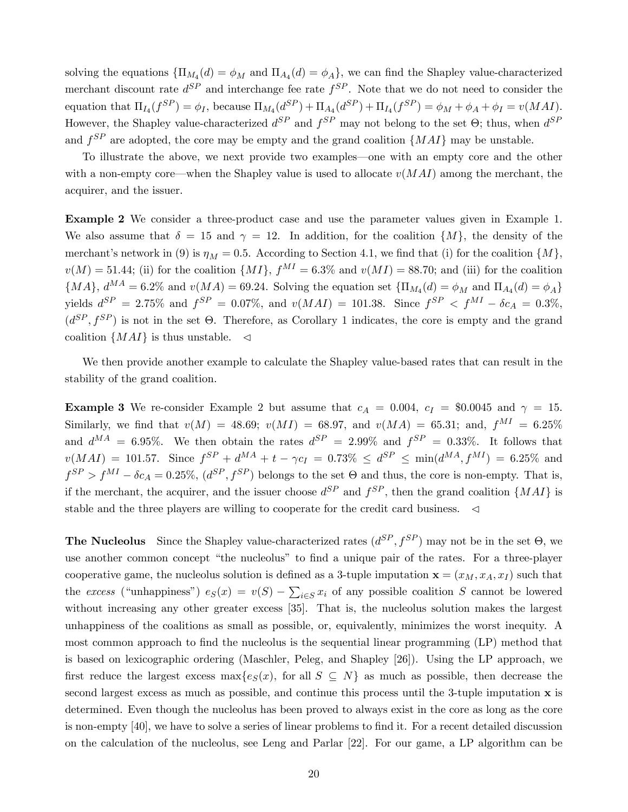solving the equations  $\{\Pi_{M_4}(d) = \phi_M\}$  and  $\Pi_{A_4}(d) = \phi_A\}$ , we can find the Shapley value-characterized merchant discount rate  $d^{SP}$  and interchange fee rate  $f^{SP}$ . Note that we do not need to consider the equation that  $\Pi_{I_4}(f^{SP}) = \phi_I$ , because  $\Pi_{M_4}(d^{SP}) + \Pi_{A_4}(d^{SP}) + \Pi_{I_4}(f^{SP}) = \phi_M + \phi_A + \phi_I = v(MAI)$ . However, the Shapley value-characterized  $d^{SP}$  and  $f^{SP}$  may not belong to the set  $\Theta$ ; thus, when  $d^{SF}$ and  $f^{SP}$  are adopted, the core may be empty and the grand coalition  $\{MAI\}$  may be unstable.

To illustrate the above, we next provide two examples—one with an empty core and the other with a non-empty core—when the Shapley value is used to allocate  $v(MAI)$  among the merchant, the acquirer, and the issuer.

Example 2 We consider a three-product case and use the parameter values given in Example 1. We also assume that  $\delta = 15$  and  $\gamma = 12$ . In addition, for the coalition  $\{M\}$ , the density of the merchant's network in (9) is  $\eta_M = 0.5$ . According to Section 4.1, we find that (i) for the coalition  $\{M\}$ ,  $v(M) = 51.44$ ; (ii) for the coalition  $\{MI\}$ ,  $f^{MI} = 6.3\%$  and  $v(MI) = 88.70$ ; and (iii) for the coalition  $\{MA\}, d^{MA} = 6.2\%$  and  $v(MA) = 69.24$ . Solving the equation set  $\{\Pi_{M_4}(d) = \phi_M\}$  and  $\Pi_{A_4}(d) = \phi_A\}$ yields  $d^{SP} = 2.75\%$  and  $f^{SP} = 0.07\%$ , and  $v(MAI) = 101.38$ . Since  $f^{SP} < f^{MI} - \delta c_A = 0.3\%$ ,  $(d^{SP}, f^{SP})$  is not in the set  $\Theta$ . Therefore, as Corollary 1 indicates, the core is empty and the grand coalition  $\{MAI\}$  is thus unstable.  $\lhd$ 

We then provide another example to calculate the Shapley value-based rates that can result in the stability of the grand coalition.

**Example 3** We re-consider Example 2 but assume that  $c_A = 0.004$ ,  $c_I = $0.0045$  and  $\gamma = 15$ . Similarly, we find that  $v(M) = 48.69$ ;  $v(MI) = 68.97$ , and  $v(MA) = 65.31$ ; and,  $f^{MI} = 6.25\%$ and  $d^{MA} = 6.95\%$ . We then obtain the rates  $d^{SP} = 2.99\%$  and  $f^{SP} = 0.33\%$ . It follows that  $v(MAI) = 101.57$ . Since  $f^{SP} + d^{MA} + t - \gamma c_I = 0.73\% \leq d^{SP} \leq \min(d^{MA}, f^{MI}) = 6.25\%$  and  $f^{SP} > f^{MI} - \delta c_A = 0.25\%, (d^{SP}, f^{SP})$  belongs to the set  $\Theta$  and thus, the core is non-empty. That is, if the merchant, the acquirer, and the issuer choose  $d^{SP}$  and  $f^{SP}$ , then the grand coalition  $\{MAI\}$  is stable and the three players are willing to cooperate for the credit card business.  $\triangleleft$ 

**The Nucleolus** Since the Shapley value-characterized rates  $(d^{SP}, f^{SP})$  may not be in the set  $\Theta$ , we use another common concept "the nucleolus" to find a unique pair of the rates. For a three-player cooperative game, the nucleolus solution is defined as a 3-tuple imputation  $\mathbf{x} = (x_M, x_A, x_I)$  such that the excess ("unhappiness")  $e_S(x) = v(S) - \sum_{i \in S} x_i$  of any possible coalition S cannot be lowered without increasing any other greater excess [35]. That is, the nucleolus solution makes the largest unhappiness of the coalitions as small as possible, or, equivalently, minimizes the worst inequity. A most common approach to find the nucleolus is the sequential linear programming (LP) method that is based on lexicographic ordering (Maschler, Peleg, and Shapley [26]). Using the LP approach, we first reduce the largest excess  $\max\{e_S(x), \text{ for all } S \subseteq N\}$  as much as possible, then decrease the second largest excess as much as possible, and continue this process until the 3-tuple imputation  $x$  is determined. Even though the nucleolus has been proved to always exist in the core as long as the core is non-empty [40], we have to solve a series of linear problems to Önd it. For a recent detailed discussion on the calculation of the nucleolus, see Leng and Parlar [22]. For our game, a LP algorithm can be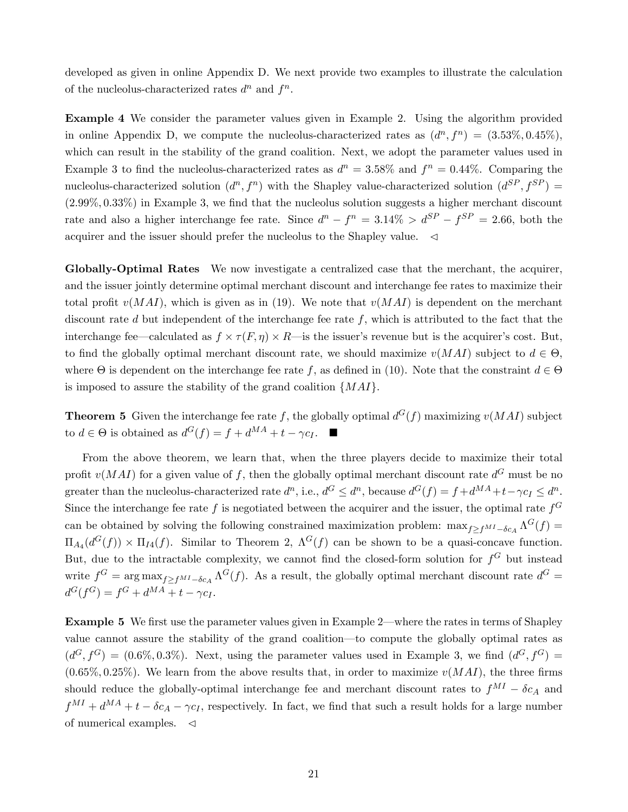developed as given in online Appendix D. We next provide two examples to illustrate the calculation of the nucleolus-characterized rates  $d^n$  and  $f^n$ .

Example 4 We consider the parameter values given in Example 2. Using the algorithm provided in online Appendix D, we compute the nucleolus-characterized rates as  $(d^n, f^n) = (3.53\%, 0.45\%),$ which can result in the stability of the grand coalition. Next, we adopt the parameter values used in Example 3 to find the nucleolus-characterized rates as  $d^n = 3.58\%$  and  $f^n = 0.44\%$ . Comparing the nucleolus-characterized solution  $(d^n, f^n)$  with the Shapley value-characterized solution  $(d^{SP}, f^{SP}) =$  $(2.99\%, 0.33\%)$  in Example 3, we find that the nucleolus solution suggests a higher merchant discount rate and also a higher interchange fee rate. Since  $d^{n} - f^{n} = 3.14\% > d^{SP} - f^{SP} = 2.66$ , both the acquirer and the issuer should prefer the nucleolus to the Shapley value.  $\triangleleft$ 

Globally-Optimal Rates We now investigate a centralized case that the merchant, the acquirer, and the issuer jointly determine optimal merchant discount and interchange fee rates to maximize their total profit  $v(MAI)$ , which is given as in (19). We note that  $v(MAI)$  is dependent on the merchant discount rate  $d$  but independent of the interchange fee rate  $f$ , which is attributed to the fact that the interchange fee—calculated as  $f \times \tau(F, \eta) \times R$ —is the issuer's revenue but is the acquirer's cost. But, to find the globally optimal merchant discount rate, we should maximize  $v(MAI)$  subject to  $d \in \Theta$ , where  $\Theta$  is dependent on the interchange fee rate f, as defined in (10). Note that the constraint  $d \in \Theta$ is imposed to assure the stability of the grand coalition  $\{MAI\}$ .

**Theorem 5** Given the interchange fee rate f, the globally optimal  $d^G(f)$  maximizing  $v(MAI)$  subject to  $d \in \Theta$  is obtained as  $d^G(f) = f + d^{MA} + t - \gamma c_I$ .

From the above theorem, we learn that, when the three players decide to maximize their total profit  $v(MAI)$  for a given value of f, then the globally optimal merchant discount rate  $d<sup>G</sup>$  must be no greater than the nucleolus-characterized rate  $d^n$ , i.e.,  $d^G \leq d^n$ , because  $d^G(f) = f + d^{MA} + t - \gamma c_I \leq d^n$ . Since the interchange fee rate f is negotiated between the acquirer and the issuer, the optimal rate  $f^G$ can be obtained by solving the following constrained maximization problem:  $\max_{f \ge f^{MI}-\delta c_A} \Lambda^G(f)$  $\Pi_{A_4}(d^G(f)) \times \Pi_{I4}(f)$ . Similar to Theorem 2,  $\Lambda^G(f)$  can be shown to be a quasi-concave function. But, due to the intractable complexity, we cannot find the closed-form solution for  $f^G$  but instead write  $f^G = \arg \max_{f \geq f^{MI} - \delta c_A} \Lambda^G(f)$ . As a result, the globally optimal merchant discount rate  $d^G =$  $d^{G}(f^{G}) = f^{G} + d^{MA} + t - \gamma c_{I}.$ 

**Example 5** We first use the parameter values given in Example 2—where the rates in terms of Shapley value cannot assure the stability of the grand coalition—to compute the globally optimal rates as  $(d^G, f^G) = (0.6\%, 0.3\%)$ . Next, using the parameter values used in Example 3, we find  $(d^G, f^G)$  $(0.65\%, 0.25\%)$ . We learn from the above results that, in order to maximize  $v(MAI)$ , the three firms should reduce the globally-optimal interchange fee and merchant discount rates to  $f^{MI} - \delta c_A$  and  $f^{MI} + d^{MA} + t - \delta c_A - \gamma c_I$ , respectively. In fact, we find that such a result holds for a large number of numerical examples.  $\lhd$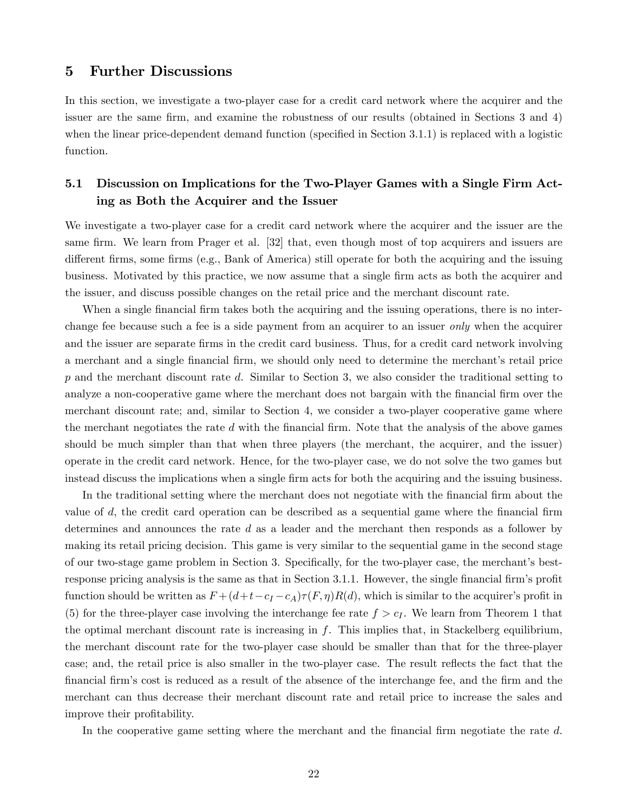### 5 Further Discussions

In this section, we investigate a two-player case for a credit card network where the acquirer and the issuer are the same firm, and examine the robustness of our results (obtained in Sections 3 and 4) when the linear price-dependent demand function (specified in Section 3.1.1) is replaced with a logistic function.

# 5.1 Discussion on Implications for the Two-Player Games with a Single Firm Acting as Both the Acquirer and the Issuer

We investigate a two-player case for a credit card network where the acquirer and the issuer are the same firm. We learn from Prager et al. [32] that, even though most of top acquirers and issuers are different firms, some firms (e.g., Bank of America) still operate for both the acquiring and the issuing business. Motivated by this practice, we now assume that a single Örm acts as both the acquirer and the issuer, and discuss possible changes on the retail price and the merchant discount rate.

When a single financial firm takes both the acquiring and the issuing operations, there is no interchange fee because such a fee is a side payment from an acquirer to an issuer *only* when the acquirer and the issuer are separate firms in the credit card business. Thus, for a credit card network involving a merchant and a single financial firm, we should only need to determine the merchant's retail price  $p$  and the merchant discount rate d. Similar to Section 3, we also consider the traditional setting to analyze a non-cooperative game where the merchant does not bargain with the financial firm over the merchant discount rate; and, similar to Section 4, we consider a two-player cooperative game where the merchant negotiates the rate  $d$  with the financial firm. Note that the analysis of the above games should be much simpler than that when three players (the merchant, the acquirer, and the issuer) operate in the credit card network. Hence, for the two-player case, we do not solve the two games but instead discuss the implications when a single firm acts for both the acquiring and the issuing business.

In the traditional setting where the merchant does not negotiate with the financial firm about the value of  $d$ , the credit card operation can be described as a sequential game where the financial firm determines and announces the rate  $d$  as a leader and the merchant then responds as a follower by making its retail pricing decision. This game is very similar to the sequential game in the second stage of our two-stage game problem in Section 3. Specifically, for the two-player case, the merchant's bestresponse pricing analysis is the same as that in Section 3.1.1. However, the single financial firm's profit function should be written as  $F + (d+t-c_I - c_A)\tau(F, \eta)R(d)$ , which is similar to the acquirer's profit in (5) for the three-player case involving the interchange fee rate  $f > c<sub>I</sub>$ . We learn from Theorem 1 that the optimal merchant discount rate is increasing in  $f$ . This implies that, in Stackelberg equilibrium, the merchant discount rate for the two-player case should be smaller than that for the three-player case; and, the retail price is also smaller in the two-player case. The result reflects the fact that the financial firm's cost is reduced as a result of the absence of the interchange fee, and the firm and the merchant can thus decrease their merchant discount rate and retail price to increase the sales and improve their profitability.

In the cooperative game setting where the merchant and the financial firm negotiate the rate  $d$ .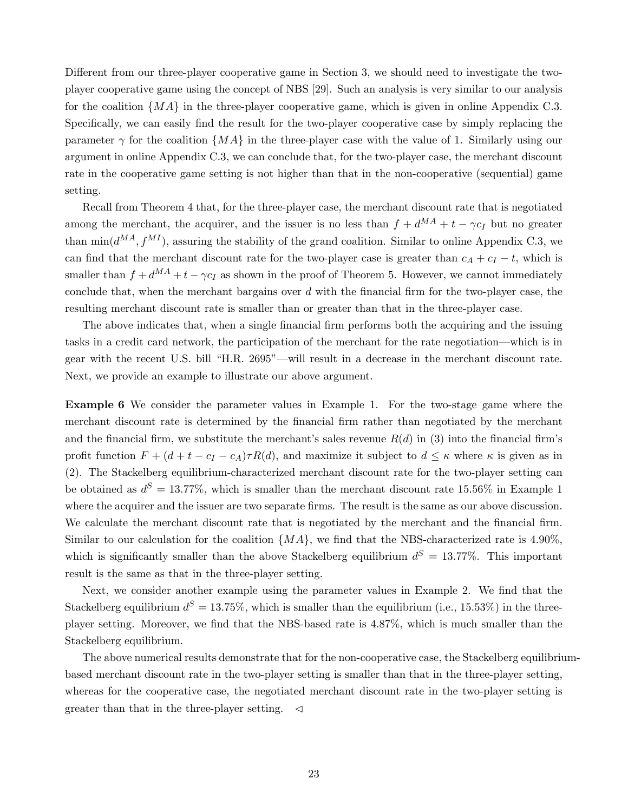Different from our three-player cooperative game in Section 3, we should need to investigate the twoplayer cooperative game using the concept of NBS [29]. Such an analysis is very similar to our analysis for the coalition  $\{MA\}$  in the three-player cooperative game, which is given in online Appendix C.3. Specifically, we can easily find the result for the two-player cooperative case by simply replacing the parameter  $\gamma$  for the coalition  $\{MA\}$  in the three-player case with the value of 1. Similarly using our argument in online Appendix C.3, we can conclude that, for the two-player case, the merchant discount rate in the cooperative game setting is not higher than that in the non-cooperative (sequential) game setting.

Recall from Theorem 4 that, for the three-player case, the merchant discount rate that is negotiated among the merchant, the acquirer, and the issuer is no less than  $f + d^{MA} + t - \gamma c_I$  but no greater than  $\min(d^{MA}, f^{MI})$ , assuring the stability of the grand coalition. Similar to online Appendix C.3, we can find that the merchant discount rate for the two-player case is greater than  $c_A + c_I - t$ , which is smaller than  $f + d^{MA} + t - \gamma c_I$  as shown in the proof of Theorem 5. However, we cannot immediately conclude that, when the merchant bargains over  $d$  with the financial firm for the two-player case, the resulting merchant discount rate is smaller than or greater than that in the three-player case.

The above indicates that, when a single financial firm performs both the acquiring and the issuing tasks in a credit card network, the participation of the merchant for the rate negotiation—which is in gear with the recent U.S. bill "H.R. 2695"—will result in a decrease in the merchant discount rate. Next, we provide an example to illustrate our above argument.

Example 6 We consider the parameter values in Example 1. For the two-stage game where the merchant discount rate is determined by the financial firm rather than negotiated by the merchant and the financial firm, we substitute the merchant's sales revenue  $R(d)$  in (3) into the financial firm's profit function  $F + (d + t - c_I - c_A)\tau R(d)$ , and maximize it subject to  $d \leq \kappa$  where  $\kappa$  is given as in (2). The Stackelberg equilibrium-characterized merchant discount rate for the two-player setting can be obtained as  $d^S = 13.77\%$ , which is smaller than the merchant discount rate 15.56% in Example 1 where the acquirer and the issuer are two separate firms. The result is the same as our above discussion. We calculate the merchant discount rate that is negotiated by the merchant and the financial firm. Similar to our calculation for the coalition  $\{MA\}$ , we find that the NBS-characterized rate is 4.90%, which is significantly smaller than the above Stackelberg equilibrium  $d^S = 13.77\%$ . This important result is the same as that in the three-player setting.

Next, we consider another example using the parameter values in Example 2. We find that the Stackelberg equilibrium  $d^S = 13.75\%$ , which is smaller than the equilibrium (i.e., 15.53%) in the threeplayer setting. Moreover, we find that the NBS-based rate is 4.87%, which is much smaller than the Stackelberg equilibrium.

The above numerical results demonstrate that for the non-cooperative case, the Stackelberg equilibriumbased merchant discount rate in the two-player setting is smaller than that in the three-player setting, whereas for the cooperative case, the negotiated merchant discount rate in the two-player setting is greater than that in the three-player setting.  $\triangleleft$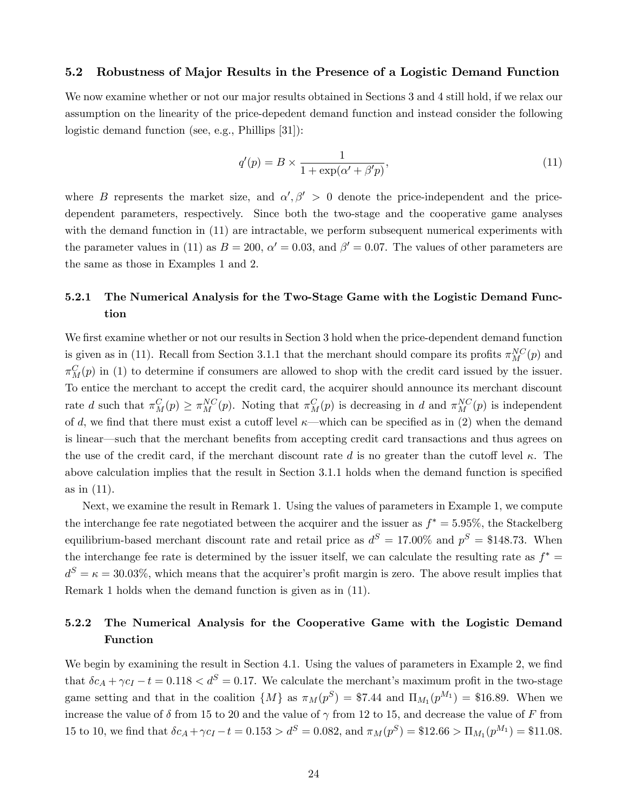#### 5.2 Robustness of Major Results in the Presence of a Logistic Demand Function

We now examine whether or not our major results obtained in Sections 3 and 4 still hold, if we relax our assumption on the linearity of the price-depedent demand function and instead consider the following logistic demand function (see, e.g., Phillips [31]):

$$
q'(p) = B \times \frac{1}{1 + \exp(\alpha' + \beta' p)},\tag{11}
$$

where B represents the market size, and  $\alpha', \beta' > 0$  denote the price-independent and the pricedependent parameters, respectively. Since both the two-stage and the cooperative game analyses with the demand function in  $(11)$  are intractable, we perform subsequent numerical experiments with the parameter values in (11) as  $B = 200$ ,  $\alpha' = 0.03$ , and  $\beta' = 0.07$ . The values of other parameters are the same as those in Examples 1 and 2.

# 5.2.1 The Numerical Analysis for the Two-Stage Game with the Logistic Demand Function

We first examine whether or not our results in Section 3 hold when the price-dependent demand function is given as in (11). Recall from Section 3.1.1 that the merchant should compare its profits  $\pi_M^{NC}(p)$  and  $\pi_M^C(p)$  in (1) to determine if consumers are allowed to shop with the credit card issued by the issuer. To entice the merchant to accept the credit card, the acquirer should announce its merchant discount rate d such that  $\pi_M^C(p) \ge \pi_M^{NC}(p)$ . Noting that  $\pi_M^C(p)$  is decreasing in d and  $\pi_M^{NC}(p)$  is independent of d, we find that there must exist a cutoff level  $\kappa$ —which can be specified as in (2) when the demand is linear—such that the merchant benefits from accepting credit card transactions and thus agrees on the use of the credit card, if the merchant discount rate d is no greater than the cutoff level  $\kappa$ . The above calculation implies that the result in Section 3.1.1 holds when the demand function is specified as in (11).

Next, we examine the result in Remark 1. Using the values of parameters in Example 1, we compute the interchange fee rate negotiated between the acquirer and the issuer as  $f^* = 5.95\%$ , the Stackelberg equilibrium-based merchant discount rate and retail price as  $d^S = 17.00\%$  and  $p^S = $148.73$ . When the interchange fee rate is determined by the issuer itself, we can calculate the resulting rate as  $f^*$  =  $d^S = \kappa = 30.03\%$ , which means that the acquirer's profit margin is zero. The above result implies that Remark 1 holds when the demand function is given as in (11).

## 5.2.2 The Numerical Analysis for the Cooperative Game with the Logistic Demand Function

We begin by examining the result in Section 4.1. Using the values of parameters in Example 2, we find that  $\delta c_A + \gamma c_I - t = 0.118 < d^S = 0.17$ . We calculate the merchant's maximum profit in the two-stage game setting and that in the coalition  $\{M\}$  as  $\pi_M(p^S) = $7.44$  and  $\Pi_{M_1}(p^{M_1}) = $16.89$ . When we increase the value of  $\delta$  from 15 to 20 and the value of  $\gamma$  from 12 to 15, and decrease the value of F from 15 to 10, we find that  $\delta c_A + \gamma c_I - t = 0.153 > d^S = 0.082$ , and  $\pi_M(p^S) = \$12.66 > \Pi_{M_1}(p^{M_1}) = \$11.08$ .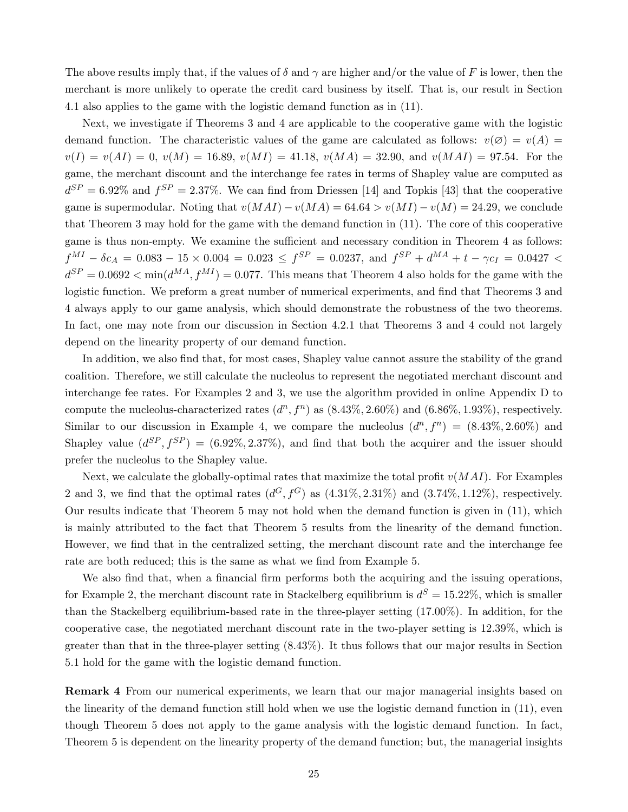The above results imply that, if the values of  $\delta$  and  $\gamma$  are higher and/or the value of F is lower, then the merchant is more unlikely to operate the credit card business by itself. That is, our result in Section 4.1 also applies to the game with the logistic demand function as in (11).

Next, we investigate if Theorems 3 and 4 are applicable to the cooperative game with the logistic demand function. The characteristic values of the game are calculated as follows:  $v(\emptyset) = v(A)$  $v(I) = v(AI) = 0, v(M) = 16.89, v(MI) = 41.18, v(MA) = 32.90, \text{ and } v(MAI) = 97.54.$  For the game, the merchant discount and the interchange fee rates in terms of Shapley value are computed as  $d^{SP} = 6.92\%$  and  $f^{SP} = 2.37\%$ . We can find from Driessen [14] and Topkis [43] that the cooperative game is supermodular. Noting that  $v(MAI) - v(MA) = 64.64 > v(MI) - v(M) = 24.29$ , we conclude that Theorem 3 may hold for the game with the demand function in (11). The core of this cooperative game is thus non-empty. We examine the sufficient and necessary condition in Theorem 4 as follows:  $f^{MI} - \delta c_A = 0.083 - 15 \times 0.004 = 0.023 \leq f^{SP} = 0.0237$ , and  $f^{SP} + d^{MA} + t - \gamma c_I = 0.0427 <$  $d^{SP} = 0.0692 < \min(d^{MA}, f^{MI}) = 0.077$ . This means that Theorem 4 also holds for the game with the logistic function. We preform a great number of numerical experiments, and find that Theorems 3 and 4 always apply to our game analysis, which should demonstrate the robustness of the two theorems. In fact, one may note from our discussion in Section 4.2.1 that Theorems 3 and 4 could not largely depend on the linearity property of our demand function.

In addition, we also find that, for most cases, Shapley value cannot assure the stability of the grand coalition. Therefore, we still calculate the nucleolus to represent the negotiated merchant discount and interchange fee rates. For Examples 2 and 3, we use the algorithm provided in online Appendix D to compute the nucleolus-characterized rates  $(d^n, f^n)$  as  $(8.43\%, 2.60\%)$  and  $(6.86\%, 1.93\%)$ , respectively. Similar to our discussion in Example 4, we compare the nucleolus  $(d^n, f^n) = (8.43\%, 2.60\%)$  and Shapley value  $(d^{SP}, f^{SP}) = (6.92\%, 2.37\%)$ , and find that both the acquirer and the issuer should prefer the nucleolus to the Shapley value.

Next, we calculate the globally-optimal rates that maximize the total profit  $v(MAI)$ . For Examples 2 and 3, we find that the optimal rates  $(d^G, f^G)$  as  $(4.31\%, 2.31\%)$  and  $(3.74\%, 1.12\%)$ , respectively. Our results indicate that Theorem 5 may not hold when the demand function is given in (11), which is mainly attributed to the fact that Theorem 5 results from the linearity of the demand function. However, we find that in the centralized setting, the merchant discount rate and the interchange fee rate are both reduced; this is the same as what we find from Example 5.

We also find that, when a financial firm performs both the acquiring and the issuing operations, for Example 2, the merchant discount rate in Stackelberg equilibrium is  $d^{S} = 15.22\%$ , which is smaller than the Stackelberg equilibrium-based rate in the three-player setting (17:00%). In addition, for the cooperative case, the negotiated merchant discount rate in the two-player setting is 12:39%, which is greater than that in the three-player setting (8:43%). It thus follows that our major results in Section 5.1 hold for the game with the logistic demand function.

Remark 4 From our numerical experiments, we learn that our major managerial insights based on the linearity of the demand function still hold when we use the logistic demand function in (11), even though Theorem 5 does not apply to the game analysis with the logistic demand function. In fact, Theorem 5 is dependent on the linearity property of the demand function; but, the managerial insights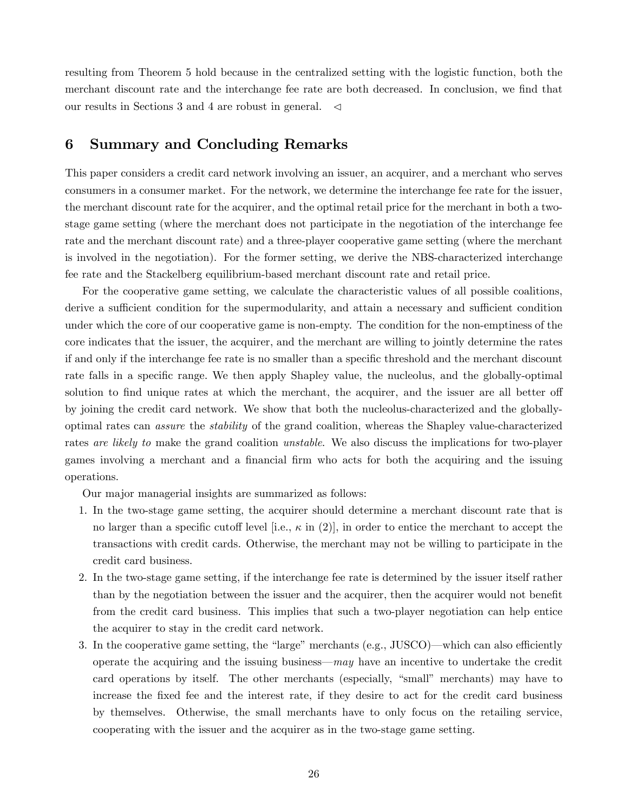resulting from Theorem 5 hold because in the centralized setting with the logistic function, both the merchant discount rate and the interchange fee rate are both decreased. In conclusion, we find that our results in Sections 3 and 4 are robust in general.  $\lhd$ 

## 6 Summary and Concluding Remarks

This paper considers a credit card network involving an issuer, an acquirer, and a merchant who serves consumers in a consumer market. For the network, we determine the interchange fee rate for the issuer, the merchant discount rate for the acquirer, and the optimal retail price for the merchant in both a twostage game setting (where the merchant does not participate in the negotiation of the interchange fee rate and the merchant discount rate) and a three-player cooperative game setting (where the merchant is involved in the negotiation). For the former setting, we derive the NBS-characterized interchange fee rate and the Stackelberg equilibrium-based merchant discount rate and retail price.

For the cooperative game setting, we calculate the characteristic values of all possible coalitions, derive a sufficient condition for the supermodularity, and attain a necessary and sufficient condition under which the core of our cooperative game is non-empty. The condition for the non-emptiness of the core indicates that the issuer, the acquirer, and the merchant are willing to jointly determine the rates if and only if the interchange fee rate is no smaller than a speciÖc threshold and the merchant discount rate falls in a specific range. We then apply Shapley value, the nucleolus, and the globally-optimal solution to find unique rates at which the merchant, the acquirer, and the issuer are all better off by joining the credit card network. We show that both the nucleolus-characterized and the globallyoptimal rates can assure the stability of the grand coalition, whereas the Shapley value-characterized rates are likely to make the grand coalition unstable. We also discuss the implications for two-player games involving a merchant and a financial firm who acts for both the acquiring and the issuing operations.

Our major managerial insights are summarized as follows:

- 1. In the two-stage game setting, the acquirer should determine a merchant discount rate that is no larger than a specific cutoff level [i.e.,  $\kappa$  in (2)], in order to entice the merchant to accept the transactions with credit cards. Otherwise, the merchant may not be willing to participate in the credit card business.
- 2. In the two-stage game setting, if the interchange fee rate is determined by the issuer itself rather than by the negotiation between the issuer and the acquirer, then the acquirer would not benefit from the credit card business. This implies that such a two-player negotiation can help entice the acquirer to stay in the credit card network.
- 3. In the cooperative game setting, the "large" merchants (e.g.,  $JUSCO$ )—which can also efficiently operate the acquiring and the issuing business— $may$  have an incentive to undertake the credit card operations by itself. The other merchants (especially, "small" merchants) may have to increase the Öxed fee and the interest rate, if they desire to act for the credit card business by themselves. Otherwise, the small merchants have to only focus on the retailing service, cooperating with the issuer and the acquirer as in the two-stage game setting.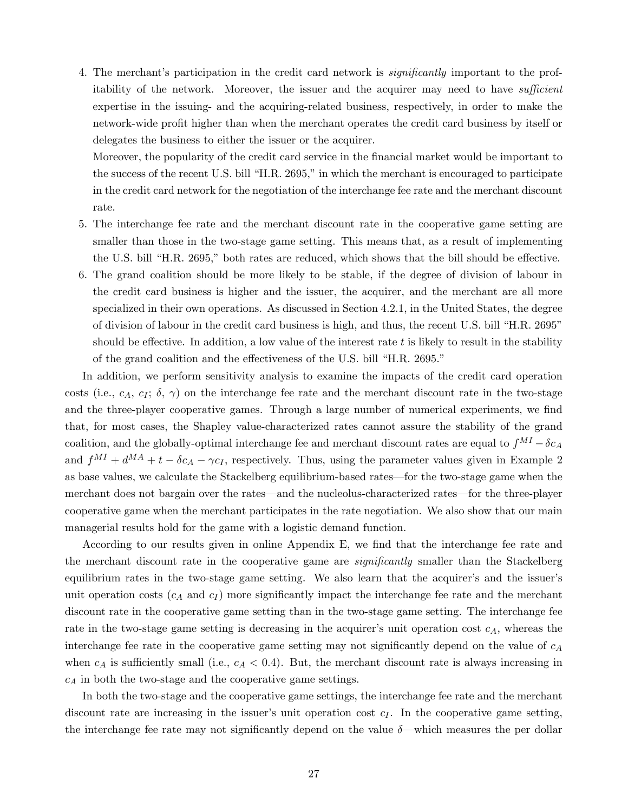4. The merchant's participation in the credit card network is *significantly* important to the profitability of the network. Moreover, the issuer and the acquirer may need to have *sufficient* expertise in the issuing- and the acquiring-related business, respectively, in order to make the network-wide profit higher than when the merchant operates the credit card business by itself or delegates the business to either the issuer or the acquirer.

Moreover, the popularity of the credit card service in the financial market would be important to the success of the recent U.S. bill "H.R. 2695," in which the merchant is encouraged to participate in the credit card network for the negotiation of the interchange fee rate and the merchant discount rate.

- 5. The interchange fee rate and the merchant discount rate in the cooperative game setting are smaller than those in the two-stage game setting. This means that, as a result of implementing the U.S. bill "H.R. 2695," both rates are reduced, which shows that the bill should be effective.
- 6. The grand coalition should be more likely to be stable, if the degree of division of labour in the credit card business is higher and the issuer, the acquirer, and the merchant are all more specialized in their own operations. As discussed in Section 4.2.1, in the United States, the degree of division of labour in the credit card business is high, and thus, the recent U.S. bill "H.R. 2695" should be effective. In addition, a low value of the interest rate  $t$  is likely to result in the stability of the grand coalition and the effectiveness of the U.S. bill "H.R. 2695."

In addition, we perform sensitivity analysis to examine the impacts of the credit card operation costs (i.e.,  $c_A$ ,  $c_I$ ;  $\delta$ ,  $\gamma$ ) on the interchange fee rate and the merchant discount rate in the two-stage and the three-player cooperative games. Through a large number of numerical experiments, we find that, for most cases, the Shapley value-characterized rates cannot assure the stability of the grand coalition, and the globally-optimal interchange fee and merchant discount rates are equal to  $f^{MI} - \delta c_A$ and  $f^{MI} + d^{MA} + t - \delta c_A - \gamma c_I$ , respectively. Thus, using the parameter values given in Example 2 as base values, we calculate the Stackelberg equilibrium-based rates—for the two-stage game when the merchant does not bargain over the rates—and the nucleolus-characterized rates—for the three-player cooperative game when the merchant participates in the rate negotiation. We also show that our main managerial results hold for the game with a logistic demand function.

According to our results given in online Appendix E, we find that the interchange fee rate and the merchant discount rate in the cooperative game are *significantly* smaller than the Stackelberg equilibrium rates in the two-stage game setting. We also learn that the acquirer's and the issuer's unit operation costs  $(c_A \text{ and } c_I)$  more significantly impact the interchange fee rate and the merchant discount rate in the cooperative game setting than in the two-stage game setting. The interchange fee rate in the two-stage game setting is decreasing in the acquirer's unit operation cost  $c<sub>A</sub>$ , whereas the interchange fee rate in the cooperative game setting may not significantly depend on the value of  $c_A$ when  $c_A$  is sufficiently small (i.e.,  $c_A < 0.4$ ). But, the merchant discount rate is always increasing in  $c_A$  in both the two-stage and the cooperative game settings.

In both the two-stage and the cooperative game settings, the interchange fee rate and the merchant discount rate are increasing in the issuer's unit operation cost  $c_I$ . In the cooperative game setting, the interchange fee rate may not significantly depend on the value  $\delta$ —which measures the per dollar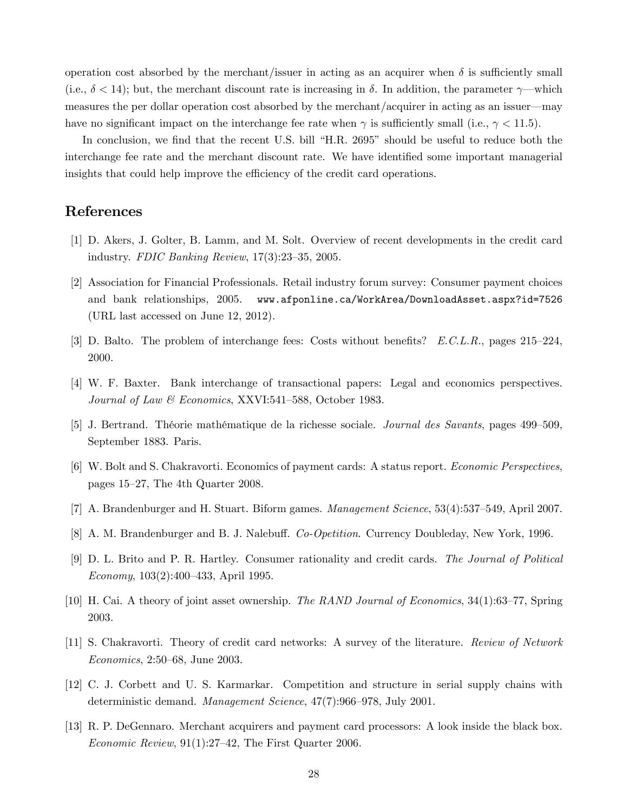operation cost absorbed by the merchant/issuer in acting as an acquirer when  $\delta$  is sufficiently small (i.e.,  $\delta$  < 14); but, the merchant discount rate is increasing in  $\delta$ . In addition, the parameter  $\gamma$ —which measures the per dollar operation cost absorbed by the merchant/acquirer in acting as an issuer—may have no significant impact on the interchange fee rate when  $\gamma$  is sufficiently small (i.e.,  $\gamma < 11.5$ ).

In conclusion, we find that the recent U.S. bill "H.R. 2695" should be useful to reduce both the interchange fee rate and the merchant discount rate. We have identified some important managerial insights that could help improve the efficiency of the credit card operations.

### References

- [1] D. Akers, J. Golter, B. Lamm, and M. Solt. Overview of recent developments in the credit card industry. FDIC Banking Review,  $17(3):23-35$ , 2005.
- [2] Association for Financial Professionals. Retail industry forum survey: Consumer payment choices and bank relationships, 2005. www.afponline.ca/WorkArea/DownloadAsset.aspx?id=7526 (URL last accessed on June 12, 2012).
- [3] D. Balto. The problem of interchange fees: Costs without benefits?  $E.C.L.R.,$  pages 215–224, 2000.
- [4] W. F. Baxter. Bank interchange of transactional papers: Legal and economics perspectives. Journal of Law & Economics, XXVI:541-588, October 1983.
- [5] J. Bertrand. Théorie mathématique de la richesse sociale. *Journal des Savants*, pages 499–509, September 1883. Paris.
- [6] W. Bolt and S. Chakravorti. Economics of payment cards: A status report. Economic Perspectives, pages  $15-27$ , The 4th Quarter 2008.
- [7] A. Brandenburger and H. Stuart. Biform games. *Management Science*,  $53(4):537-549$ , April 2007.
- [8] A. M. Brandenburger and B. J. Nalebuff. Co-Opetition. Currency Doubleday, New York, 1996.
- [9] D. L. Brito and P. R. Hartley. Consumer rationality and credit cards. The Journal of Political Economy,  $103(2):400-433$ , April 1995.
- [10] H. Cai. A theory of joint asset ownership. The RAND Journal of Economics,  $34(1):63-77$ , Spring 2003.
- [11] S. Chakravorti. Theory of credit card networks: A survey of the literature. Review of Network  $Economics, 2:50–68, June 2003.$
- [12] C. J. Corbett and U. S. Karmarkar. Competition and structure in serial supply chains with deterministic demand. *Management Science*,  $47(7)$ :966–978, July 2001.
- [13] R. P. DeGennaro. Merchant acquirers and payment card processors: A look inside the black box. Economic Review,  $91(1):27-42$ , The First Quarter 2006.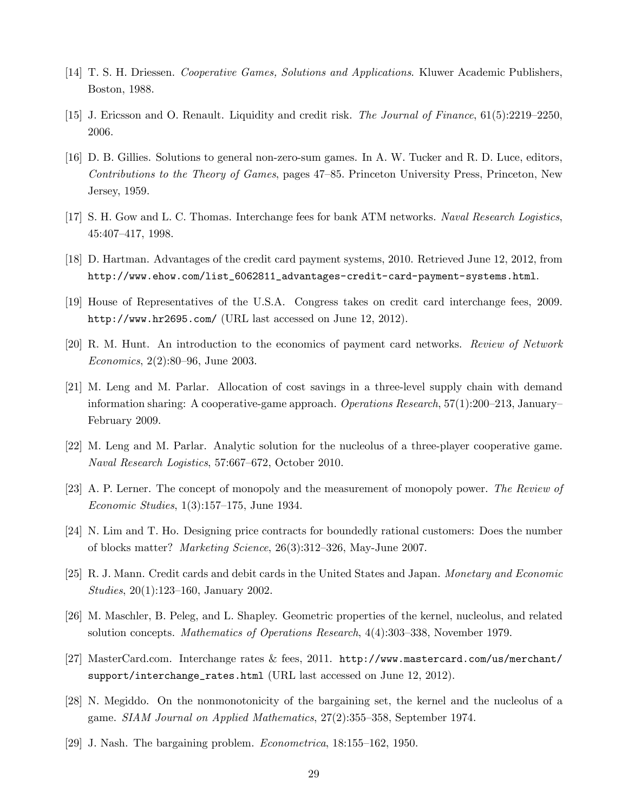- [14] T. S. H. Driessen. Cooperative Games, Solutions and Applications. Kluwer Academic Publishers, Boston, 1988.
- [15] J. Ericsson and O. Renault. Liquidity and credit risk. The Journal of Finance,  $61(5):2219-2250$ , 2006.
- [16] D. B. Gillies. Solutions to general non-zero-sum games. In A. W. Tucker and R. D. Luce, editors, Contributions to the Theory of Games, pages 47–85. Princeton University Press, Princeton, New Jersey, 1959.
- [17] S. H. Gow and L. C. Thomas. Interchange fees for bank ATM networks. Naval Research Logistics, 45:407-417, 1998.
- [18] D. Hartman. Advantages of the credit card payment systems, 2010. Retrieved June 12, 2012, from http://www.ehow.com/list\_6062811\_advantages-credit-card-payment-systems.html.
- [19] House of Representatives of the U.S.A. Congress takes on credit card interchange fees, 2009. http://www.hr2695.com/ (URL last accessed on June 12, 2012).
- [20] R. M. Hunt. An introduction to the economics of payment card networks. Review of Network Economics,  $2(2):80-96$ , June 2003.
- [21] M. Leng and M. Parlar. Allocation of cost savings in a three-level supply chain with demand information sharing: A cooperative-game approach. *Operations Research*,  $57(1):200-213$ , January February 2009.
- [22] M. Leng and M. Parlar. Analytic solution for the nucleolus of a three-player cooperative game. Naval Research Logistics, 57:667–672, October 2010.
- [23] A. P. Lerner. The concept of monopoly and the measurement of monopoly power. The Review of Economic Studies,  $1(3):157-175$ , June 1934.
- [24] N. Lim and T. Ho. Designing price contracts for boundedly rational customers: Does the number of blocks matter? *Marketing Science*,  $26(3):312-326$ , May-June 2007.
- [25] R. J. Mann. Credit cards and debit cards in the United States and Japan. Monetary and Economic Studies,  $20(1):123-160$ , January 2002.
- [26] M. Maschler, B. Peleg, and L. Shapley. Geometric properties of the kernel, nucleolus, and related solution concepts. *Mathematics of Operations Research*,  $4(4):303-338$ , November 1979.
- [27] MasterCard.com. Interchange rates & fees, 2011. http://www.mastercard.com/us/merchant/ support/interchange\_rates.html (URL last accessed on June 12, 2012).
- [28] N. Megiddo. On the nonmonotonicity of the bargaining set, the kernel and the nucleolus of a game. SIAM Journal on Applied Mathematics, 27(2):355–358, September 1974.
- [29] J. Nash. The bargaining problem. *Econometrica*,  $18:155-162$ , 1950.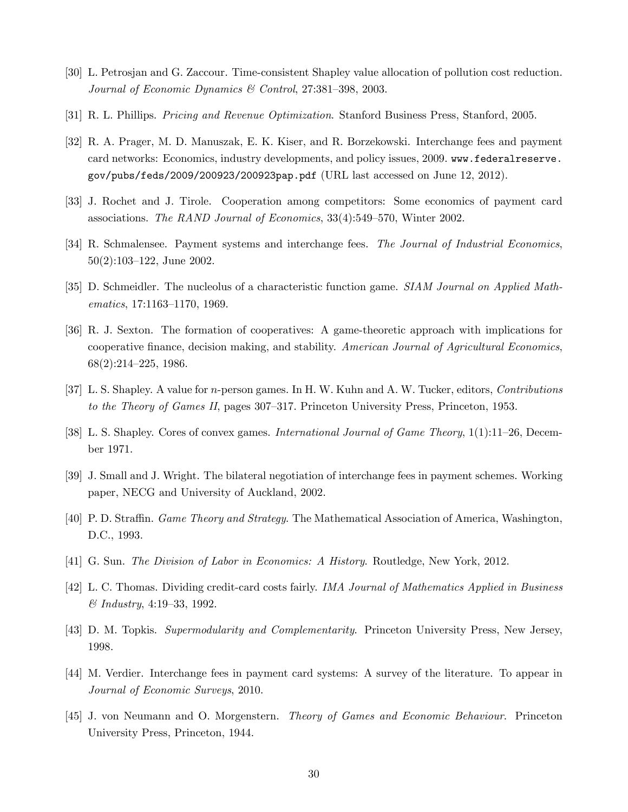- [30] L. Petrosjan and G. Zaccour. Time-consistent Shapley value allocation of pollution cost reduction. Journal of Economic Dynamics & Control,  $27:381-398$ , 2003.
- [31] R. L. Phillips. Pricing and Revenue Optimization. Stanford Business Press, Stanford, 2005.
- [32] R. A. Prager, M. D. Manuszak, E. K. Kiser, and R. Borzekowski. Interchange fees and payment card networks: Economics, industry developments, and policy issues, 2009. www.federalreserve. gov/pubs/feds/2009/200923/200923pap.pdf (URL last accessed on June 12, 2012).
- [33] J. Rochet and J. Tirole. Cooperation among competitors: Some economics of payment card associations. The RAND Journal of Economics,  $33(4):549-570$ , Winter 2002.
- [34] R. Schmalensee. Payment systems and interchange fees. The Journal of Industrial Economics,  $50(2):103-122$ , June 2002.
- [35] D. Schmeidler. The nucleolus of a characteristic function game. SIAM Journal on Applied Mathematics, 17:1163-1170, 1969.
- [36] R. J. Sexton. The formation of cooperatives: A game-theoretic approach with implications for cooperative finance, decision making, and stability. American Journal of Agricultural Economics,  $68(2):214-225, 1986.$
- [37] L. S. Shapley. A value for n-person games. In H. W. Kuhn and A. W. Tucker, editors, Contributions to the Theory of Games II, pages 307–317. Princeton University Press, Princeton, 1953.
- [38] L. S. Shapley. Cores of convex games. International Journal of Game Theory,  $1(1):11-26$ , December 1971.
- [39] J. Small and J. Wright. The bilateral negotiation of interchange fees in payment schemes. Working paper, NECG and University of Auckland, 2002.
- [40] P. D. Straffin. Game Theory and Strategy. The Mathematical Association of America, Washington, D.C., 1993.
- [41] G. Sun. The Division of Labor in Economics: A History. Routledge, New York, 2012.
- [42] L. C. Thomas. Dividing credit-card costs fairly. IMA Journal of Mathematics Applied in Business  $&$  Industry, 4:19-33, 1992.
- [43] D. M. Topkis. Supermodularity and Complementarity. Princeton University Press, New Jersey, 1998.
- [44] M. Verdier. Interchange fees in payment card systems: A survey of the literature. To appear in Journal of Economic Surveys, 2010.
- [45] J. von Neumann and O. Morgenstern. Theory of Games and Economic Behaviour. Princeton University Press, Princeton, 1944.